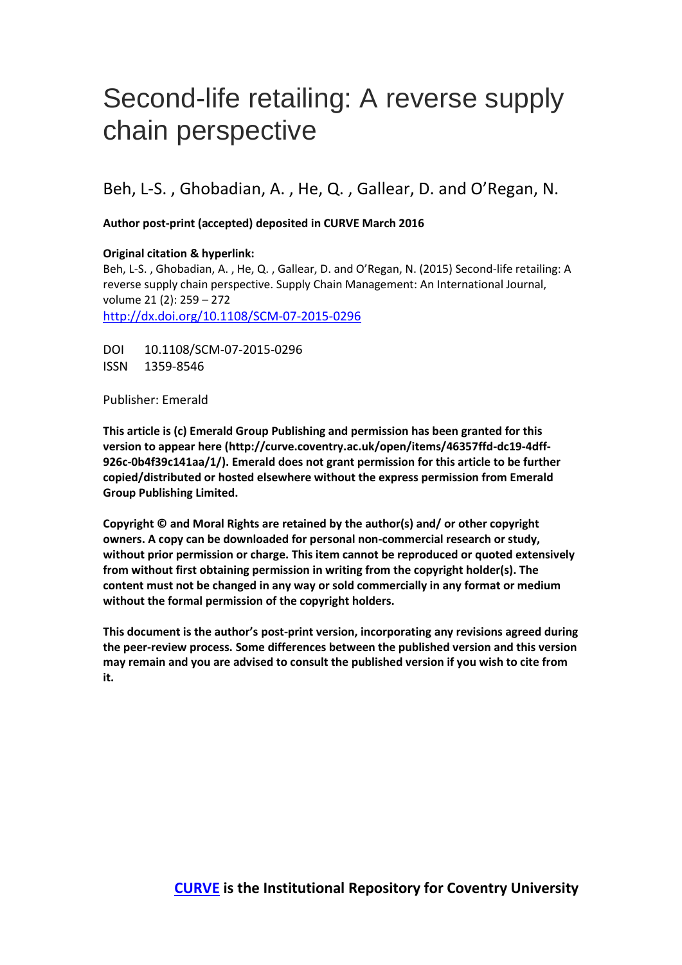# Second-life retailing: A reverse supply chain perspective

Beh, L-S. , Ghobadian, A. , He, Q. , Gallear, D. and O'Regan, N.

**Author post-print (accepted) deposited in CURVE March 2016**

## **Original citation & hyperlink:**

Beh, L-S. , Ghobadian, A. , He, Q. , Gallear, D. and O'Regan, N. (2015) Second-life retailing: A reverse supply chain perspective. Supply Chain Management: An International Journal, volume 21 (2): 259 – 272 <http://dx.doi.org/10.1108/SCM-07-2015-0296>

DOI 10.1108/SCM-07-2015-0296 ISSN 1359-8546

Publisher: Emerald

**This article is (c) Emerald Group Publishing and permission has been granted for this version to appear here (http://curve.coventry.ac.uk/open/items/46357ffd-dc19-4dff-926c-0b4f39c141aa/1/). Emerald does not grant permission for this article to be further copied/distributed or hosted elsewhere without the express permission from Emerald Group Publishing Limited.**

**Copyright © and Moral Rights are retained by the author(s) and/ or other copyright owners. A copy can be downloaded for personal non-commercial research or study, without prior permission or charge. This item cannot be reproduced or quoted extensively from without first obtaining permission in writing from the copyright holder(s). The content must not be changed in any way or sold commercially in any format or medium without the formal permission of the copyright holders.** 

**This document is the author's post-print version, incorporating any revisions agreed during the peer-review process. Some differences between the published version and this version may remain and you are advised to consult the published version if you wish to cite from it.**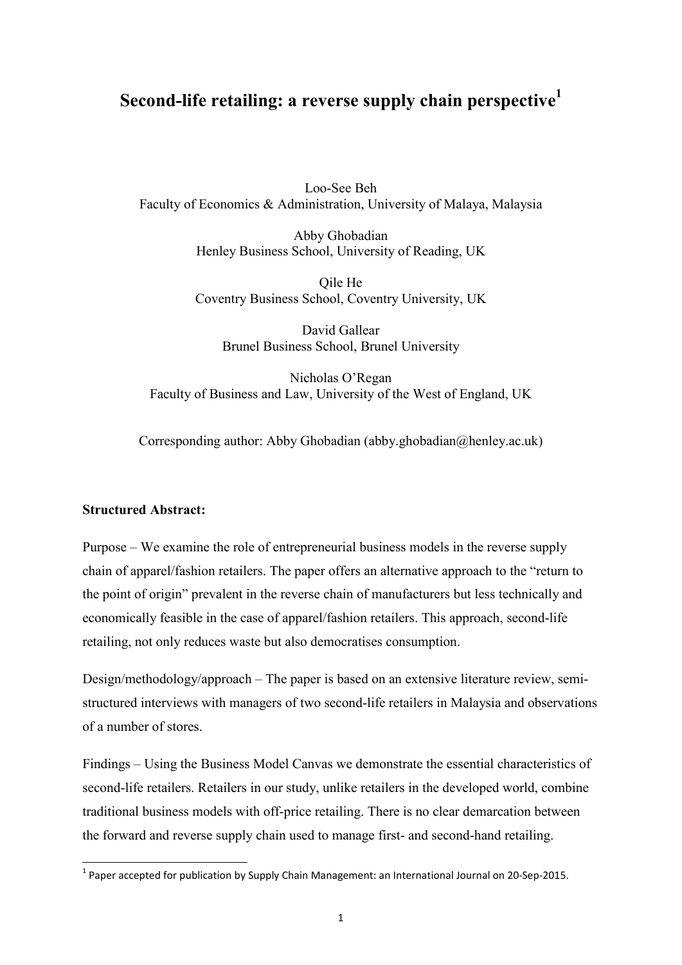# **Second-life retailing: a reverse supply chain perspective<sup>1</sup>**

Loo-See Beh Faculty of Economics & Administration, University of Malaya, Malaysia

> Abby Ghobadian Henley Business School, University of Reading, UK

> Qile He Coventry Business School, Coventry University, UK

David Gallear Brunel Business School, Brunel University

Nicholas O'Regan Faculty of Business and Law, University of the West of England, UK

Corresponding author: Abby Ghobadian (abby.ghobadian@henley.ac.uk)

# **Structured Abstract:**

Purpose – We examine the role of entrepreneurial business models in the reverse supply chain of apparel/fashion retailers. The paper offers an alternative approach to the "return to the point of origin" prevalent in the reverse chain of manufacturers but less technically and economically feasible in the case of apparel/fashion retailers. This approach, second-life retailing, not only reduces waste but also democratises consumption.

Design/methodology/approach – The paper is based on an extensive literature review, semistructured interviews with managers of two second-life retailers in Malaysia and observations of a number of stores.

Findings – Using the Business Model Canvas we demonstrate the essential characteristics of second-life retailers. Retailers in our study, unlike retailers in the developed world, combine traditional business models with off-price retailing. There is no clear demarcation between the forward and reverse supply chain used to manage first- and second-hand retailing.

 1 Paper accepted for publication by Supply Chain Management: an International Journal on 20-Sep-2015.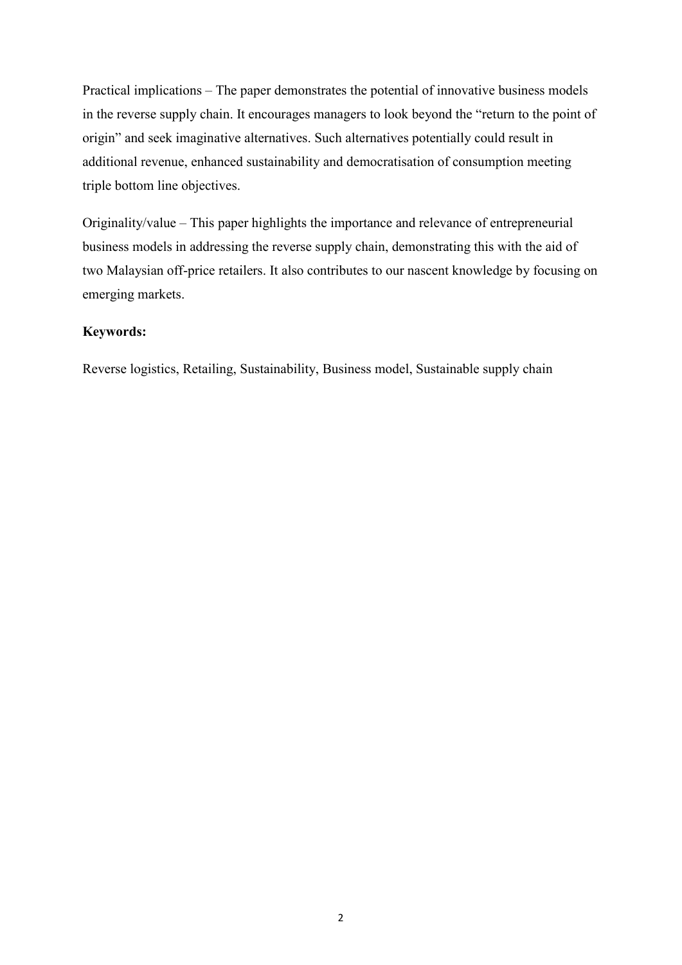Practical implications – The paper demonstrates the potential of innovative business models in the reverse supply chain. It encourages managers to look beyond the "return to the point of origin" and seek imaginative alternatives. Such alternatives potentially could result in additional revenue, enhanced sustainability and democratisation of consumption meeting triple bottom line objectives.

Originality/value – This paper highlights the importance and relevance of entrepreneurial business models in addressing the reverse supply chain, demonstrating this with the aid of two Malaysian off-price retailers. It also contributes to our nascent knowledge by focusing on emerging markets.

# **Keywords:**

Reverse logistics, Retailing, Sustainability, Business model, Sustainable supply chain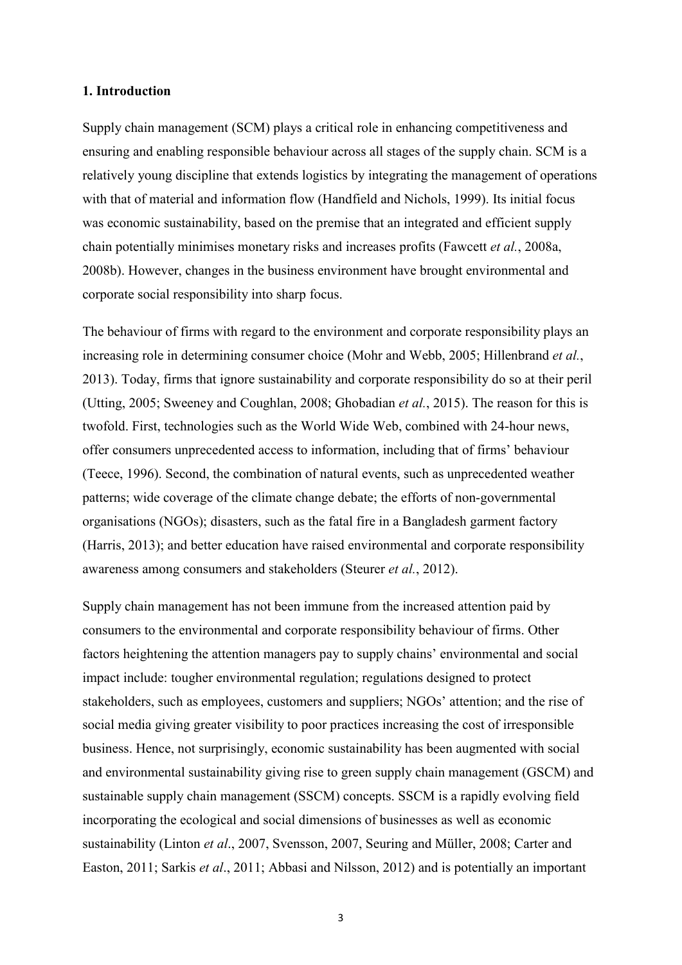#### **1. Introduction**

Supply chain management (SCM) plays a critical role in enhancing competitiveness and ensuring and enabling responsible behaviour across all stages of the supply chain. SCM is a relatively young discipline that extends logistics by integrating the management of operations with that of material and information flow (Handfield and Nichols, 1999). Its initial focus was economic sustainability, based on the premise that an integrated and efficient supply chain potentially minimises monetary risks and increases profits (Fawcett *et al.*, 2008a, 2008b). However, changes in the business environment have brought environmental and corporate social responsibility into sharp focus.

The behaviour of firms with regard to the environment and corporate responsibility plays an increasing role in determining consumer choice (Mohr and Webb, 2005; Hillenbrand *et al.*, 2013). Today, firms that ignore sustainability and corporate responsibility do so at their peril (Utting, 2005; Sweeney and Coughlan, 2008; Ghobadian *et al.*, 2015). The reason for this is twofold. First, technologies such as the World Wide Web, combined with 24-hour news, offer consumers unprecedented access to information, including that of firms' behaviour (Teece, 1996). Second, the combination of natural events, such as unprecedented weather patterns; wide coverage of the climate change debate; the efforts of non-governmental organisations (NGOs); disasters, such as the fatal fire in a Bangladesh garment factory (Harris, 2013); and better education have raised environmental and corporate responsibility awareness among consumers and stakeholders (Steurer *et al.*, 2012).

Supply chain management has not been immune from the increased attention paid by consumers to the environmental and corporate responsibility behaviour of firms. Other factors heightening the attention managers pay to supply chains' environmental and social impact include: tougher environmental regulation; regulations designed to protect stakeholders, such as employees, customers and suppliers; NGOs' attention; and the rise of social media giving greater visibility to poor practices increasing the cost of irresponsible business. Hence, not surprisingly, economic sustainability has been augmented with social and environmental sustainability giving rise to green supply chain management (GSCM) and sustainable supply chain management (SSCM) concepts. SSCM is a rapidly evolving field incorporating the ecological and social dimensions of businesses as well as economic sustainability (Linton *et al*., 2007, Svensson, 2007, Seuring and Müller, 2008; Carter and Easton, 2011; Sarkis *et al*., 2011; Abbasi and Nilsson, 2012) and is potentially an important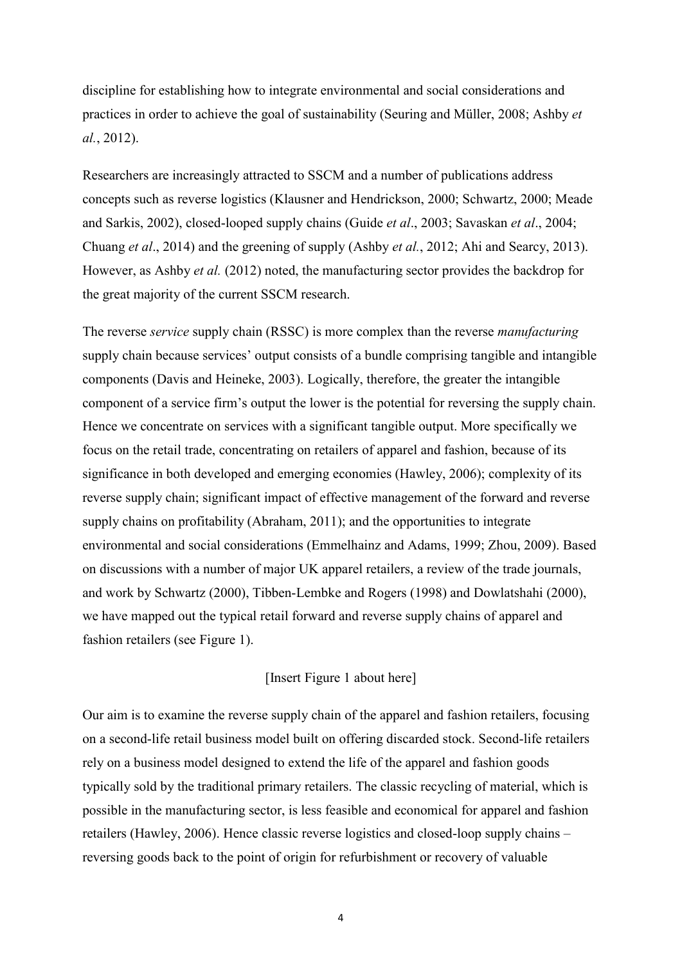discipline for establishing how to integrate environmental and social considerations and practices in order to achieve the goal of sustainability (Seuring and Müller, 2008; Ashby *et al.*, 2012).

Researchers are increasingly attracted to SSCM and a number of publications address concepts such as reverse logistics (Klausner and Hendrickson, 2000; Schwartz, 2000; Meade and Sarkis, 2002), closed-looped supply chains (Guide *et al*., 2003; Savaskan *et al*., 2004; Chuang *et al*., 2014) and the greening of supply (Ashby *et al.*, 2012; Ahi and Searcy, 2013). However, as Ashby *et al.* (2012) noted, the manufacturing sector provides the backdrop for the great majority of the current SSCM research.

The reverse *service* supply chain (RSSC) is more complex than the reverse *manufacturing* supply chain because services' output consists of a bundle comprising tangible and intangible components (Davis and Heineke, 2003). Logically, therefore, the greater the intangible component of a service firm's output the lower is the potential for reversing the supply chain. Hence we concentrate on services with a significant tangible output. More specifically we focus on the retail trade, concentrating on retailers of apparel and fashion, because of its significance in both developed and emerging economies (Hawley, 2006); complexity of its reverse supply chain; significant impact of effective management of the forward and reverse supply chains on profitability (Abraham, 2011); and the opportunities to integrate environmental and social considerations (Emmelhainz and Adams, 1999; Zhou, 2009). Based on discussions with a number of major UK apparel retailers, a review of the trade journals, and work by Schwartz (2000), Tibben-Lembke and Rogers (1998) and Dowlatshahi (2000), we have mapped out the typical retail forward and reverse supply chains of apparel and fashion retailers (see Figure 1).

### [Insert Figure 1 about here]

Our aim is to examine the reverse supply chain of the apparel and fashion retailers, focusing on a second-life retail business model built on offering discarded stock. Second-life retailers rely on a business model designed to extend the life of the apparel and fashion goods typically sold by the traditional primary retailers. The classic recycling of material, which is possible in the manufacturing sector, is less feasible and economical for apparel and fashion retailers (Hawley, 2006). Hence classic reverse logistics and closed-loop supply chains – reversing goods back to the point of origin for refurbishment or recovery of valuable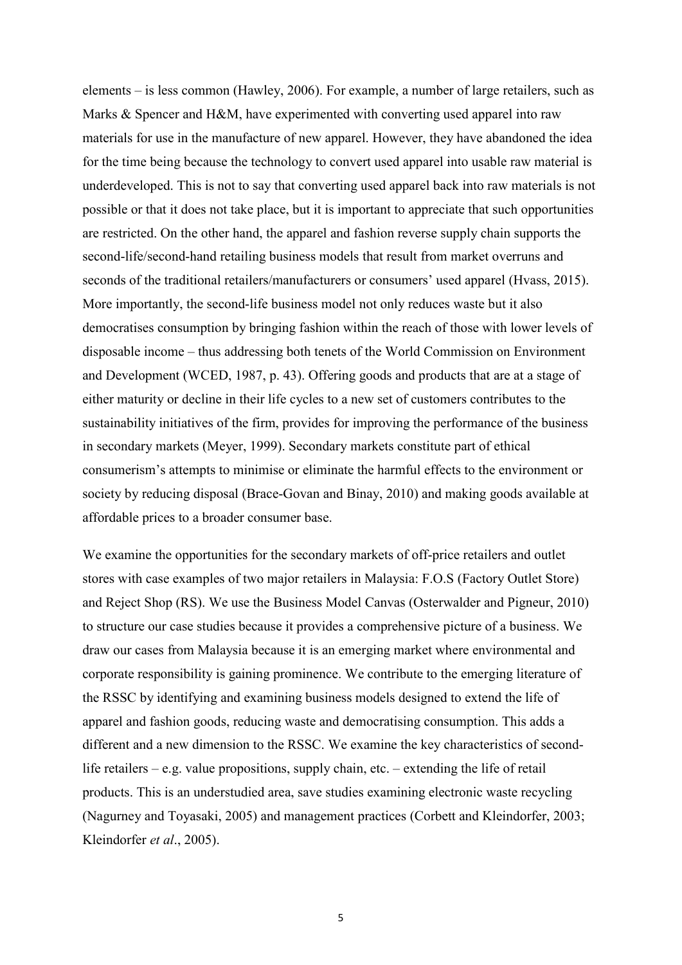elements – is less common (Hawley, 2006). For example, a number of large retailers, such as Marks & Spencer and H&M, have experimented with converting used apparel into raw materials for use in the manufacture of new apparel. However, they have abandoned the idea for the time being because the technology to convert used apparel into usable raw material is underdeveloped. This is not to say that converting used apparel back into raw materials is not possible or that it does not take place, but it is important to appreciate that such opportunities are restricted. On the other hand, the apparel and fashion reverse supply chain supports the second-life/second-hand retailing business models that result from market overruns and seconds of the traditional retailers/manufacturers or consumers' used apparel (Hvass, 2015). More importantly, the second-life business model not only reduces waste but it also democratises consumption by bringing fashion within the reach of those with lower levels of disposable income – thus addressing both tenets of the World Commission on Environment and Development (WCED, 1987, p. 43). Offering goods and products that are at a stage of either maturity or decline in their life cycles to a new set of customers contributes to the sustainability initiatives of the firm, provides for improving the performance of the business in secondary markets (Meyer, 1999). Secondary markets constitute part of ethical consumerism's attempts to minimise or eliminate the harmful effects to the environment or society by reducing disposal (Brace-Govan and Binay, 2010) and making goods available at affordable prices to a broader consumer base.

We examine the opportunities for the secondary markets of off-price retailers and outlet stores with case examples of two major retailers in Malaysia: F.O.S (Factory Outlet Store) and Reject Shop (RS). We use the Business Model Canvas (Osterwalder and Pigneur, 2010) to structure our case studies because it provides a comprehensive picture of a business. We draw our cases from Malaysia because it is an emerging market where environmental and corporate responsibility is gaining prominence. We contribute to the emerging literature of the RSSC by identifying and examining business models designed to extend the life of apparel and fashion goods, reducing waste and democratising consumption. This adds a different and a new dimension to the RSSC. We examine the key characteristics of secondlife retailers – e.g. value propositions, supply chain, etc. – extending the life of retail products. This is an understudied area, save studies examining electronic waste recycling (Nagurney and Toyasaki, 2005) and management practices (Corbett and Kleindorfer, 2003; Kleindorfer *et al*., 2005).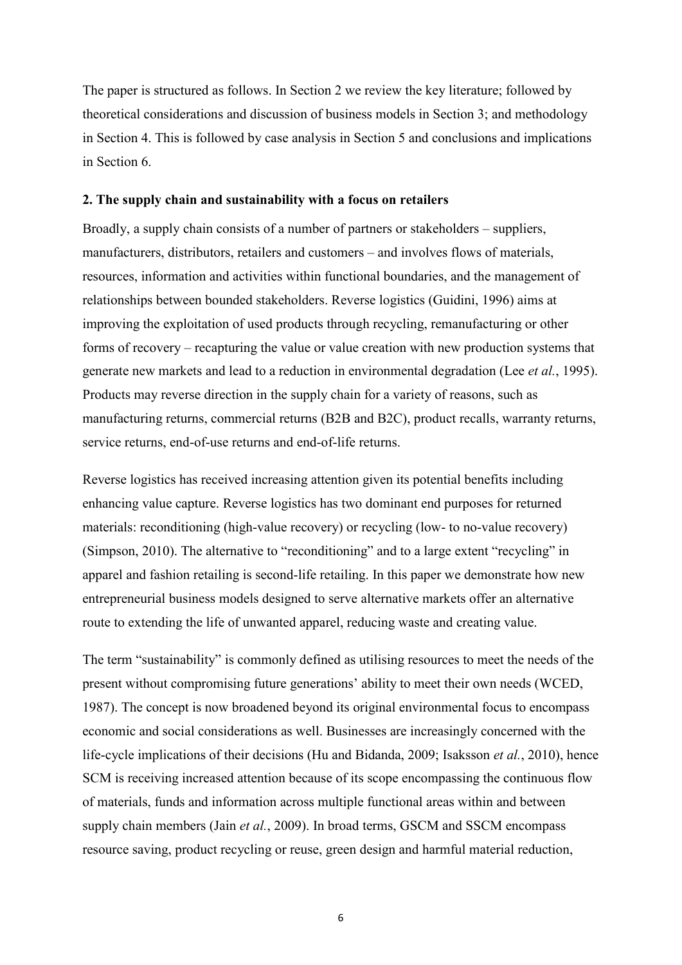The paper is structured as follows. In Section 2 we review the key literature; followed by theoretical considerations and discussion of business models in Section 3; and methodology in Section 4. This is followed by case analysis in Section 5 and conclusions and implications in Section 6.

#### **2. The supply chain and sustainability with a focus on retailers**

Broadly, a supply chain consists of a number of partners or stakeholders – suppliers, manufacturers, distributors, retailers and customers – and involves flows of materials, resources, information and activities within functional boundaries, and the management of relationships between bounded stakeholders. Reverse logistics (Guidini, 1996) aims at improving the exploitation of used products through recycling, remanufacturing or other forms of recovery – recapturing the value or value creation with new production systems that generate new markets and lead to a reduction in environmental degradation (Lee *et al.*, 1995). Products may reverse direction in the supply chain for a variety of reasons, such as manufacturing returns, commercial returns (B2B and B2C), product recalls, warranty returns, service returns, end-of-use returns and end-of-life returns.

Reverse logistics has received increasing attention given its potential benefits including enhancing value capture. Reverse logistics has two dominant end purposes for returned materials: reconditioning (high-value recovery) or recycling (low- to no-value recovery) (Simpson, 2010). The alternative to "reconditioning" and to a large extent "recycling" in apparel and fashion retailing is second-life retailing. In this paper we demonstrate how new entrepreneurial business models designed to serve alternative markets offer an alternative route to extending the life of unwanted apparel, reducing waste and creating value.

The term "sustainability" is commonly defined as utilising resources to meet the needs of the present without compromising future generations' ability to meet their own needs (WCED, 1987). The concept is now broadened beyond its original environmental focus to encompass economic and social considerations as well. Businesses are increasingly concerned with the life-cycle implications of their decisions (Hu and Bidanda, 2009; Isaksson *et al.*, 2010), hence SCM is receiving increased attention because of its scope encompassing the continuous flow of materials, funds and information across multiple functional areas within and between supply chain members (Jain *et al.*, 2009). In broad terms, GSCM and SSCM encompass resource saving, product recycling or reuse, green design and harmful material reduction,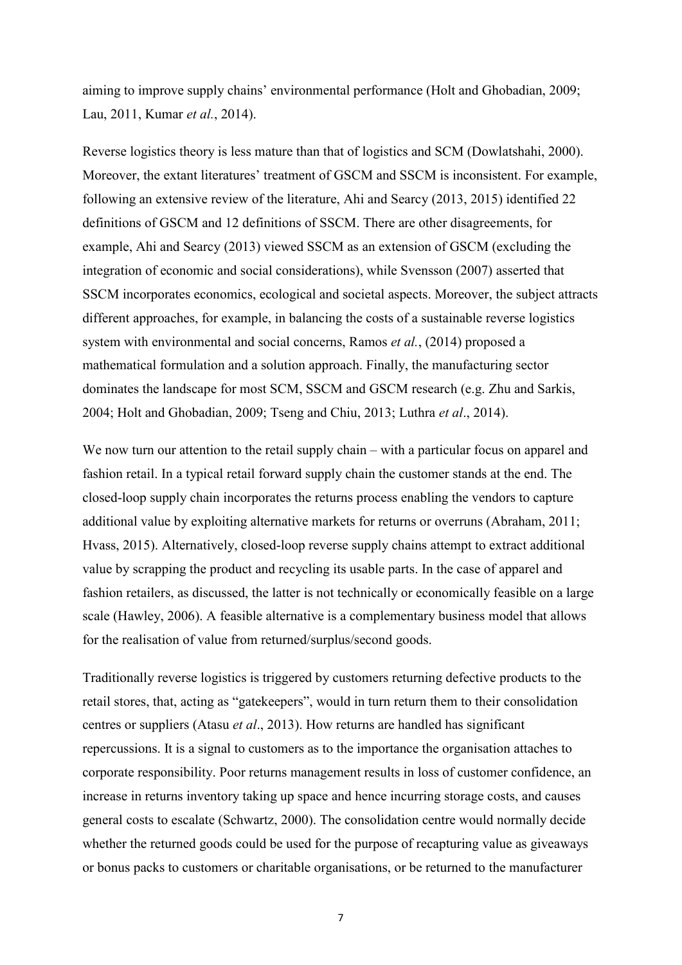aiming to improve supply chains' environmental performance (Holt and Ghobadian, 2009; Lau, 2011, Kumar *et al.*, 2014).

Reverse logistics theory is less mature than that of logistics and SCM (Dowlatshahi, 2000). Moreover, the extant literatures' treatment of GSCM and SSCM is inconsistent. For example, following an extensive review of the literature, Ahi and Searcy (2013, 2015) identified 22 definitions of GSCM and 12 definitions of SSCM. There are other disagreements, for example, Ahi and Searcy (2013) viewed SSCM as an extension of GSCM (excluding the integration of economic and social considerations), while Svensson (2007) asserted that SSCM incorporates economics, ecological and societal aspects. Moreover, the subject attracts different approaches, for example, in balancing the costs of a sustainable reverse logistics system with environmental and social concerns, Ramos *et al.*, (2014) proposed a mathematical formulation and a solution approach. Finally, the manufacturing sector dominates the landscape for most SCM, SSCM and GSCM research (e.g. Zhu and Sarkis, 2004; Holt and Ghobadian, 2009; Tseng and Chiu, 2013; Luthra *et al*., 2014).

We now turn our attention to the retail supply chain – with a particular focus on apparel and fashion retail. In a typical retail forward supply chain the customer stands at the end. The closed-loop supply chain incorporates the returns process enabling the vendors to capture additional value by exploiting alternative markets for returns or overruns (Abraham, 2011; Hvass, 2015). Alternatively, closed-loop reverse supply chains attempt to extract additional value by scrapping the product and recycling its usable parts. In the case of apparel and fashion retailers, as discussed, the latter is not technically or economically feasible on a large scale (Hawley, 2006). A feasible alternative is a complementary business model that allows for the realisation of value from returned/surplus/second goods.

Traditionally reverse logistics is triggered by customers returning defective products to the retail stores, that, acting as "gatekeepers", would in turn return them to their consolidation centres or suppliers (Atasu *et al*., 2013). How returns are handled has significant repercussions. It is a signal to customers as to the importance the organisation attaches to corporate responsibility. Poor returns management results in loss of customer confidence, an increase in returns inventory taking up space and hence incurring storage costs, and causes general costs to escalate (Schwartz, 2000). The consolidation centre would normally decide whether the returned goods could be used for the purpose of recapturing value as giveaways or bonus packs to customers or charitable organisations, or be returned to the manufacturer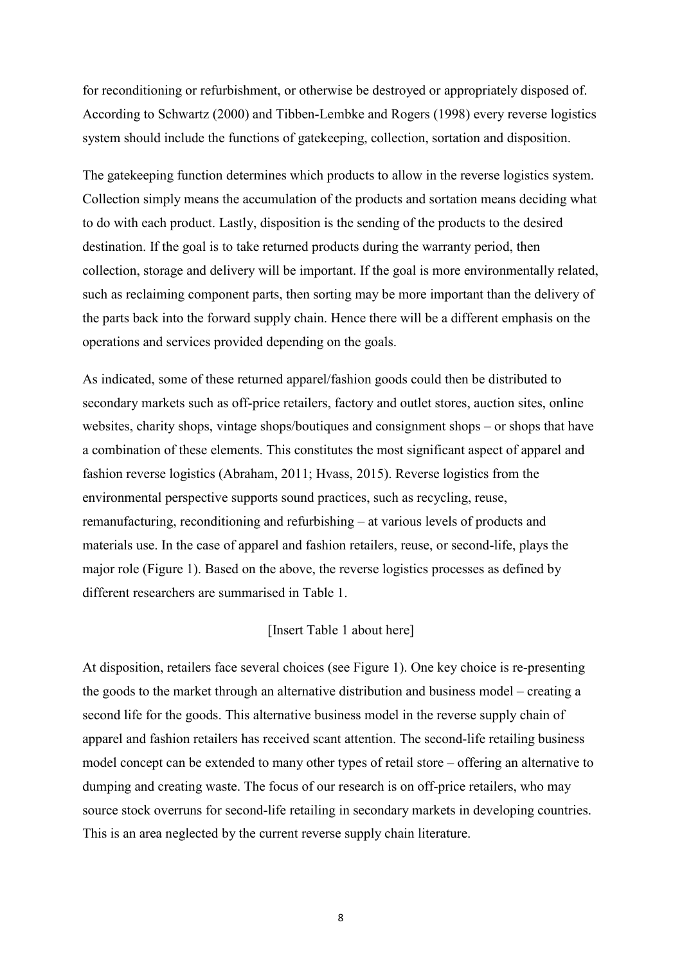for reconditioning or refurbishment, or otherwise be destroyed or appropriately disposed of. According to Schwartz (2000) and Tibben-Lembke and Rogers (1998) every reverse logistics system should include the functions of gatekeeping, collection, sortation and disposition.

The gatekeeping function determines which products to allow in the reverse logistics system. Collection simply means the accumulation of the products and sortation means deciding what to do with each product. Lastly, disposition is the sending of the products to the desired destination. If the goal is to take returned products during the warranty period, then collection, storage and delivery will be important. If the goal is more environmentally related, such as reclaiming component parts, then sorting may be more important than the delivery of the parts back into the forward supply chain. Hence there will be a different emphasis on the operations and services provided depending on the goals.

As indicated, some of these returned apparel/fashion goods could then be distributed to secondary markets such as off-price retailers, factory and outlet stores, auction sites, online websites, charity shops, vintage shops/boutiques and consignment shops – or shops that have a combination of these elements. This constitutes the most significant aspect of apparel and fashion reverse logistics (Abraham, 2011; Hvass, 2015). Reverse logistics from the environmental perspective supports sound practices, such as recycling, reuse, remanufacturing, reconditioning and refurbishing – at various levels of products and materials use. In the case of apparel and fashion retailers, reuse, or second-life, plays the major role (Figure 1). Based on the above, the reverse logistics processes as defined by different researchers are summarised in Table 1.

# [Insert Table 1 about here]

At disposition, retailers face several choices (see Figure 1). One key choice is re-presenting the goods to the market through an alternative distribution and business model – creating a second life for the goods. This alternative business model in the reverse supply chain of apparel and fashion retailers has received scant attention. The second-life retailing business model concept can be extended to many other types of retail store – offering an alternative to dumping and creating waste. The focus of our research is on off-price retailers, who may source stock overruns for second-life retailing in secondary markets in developing countries. This is an area neglected by the current reverse supply chain literature.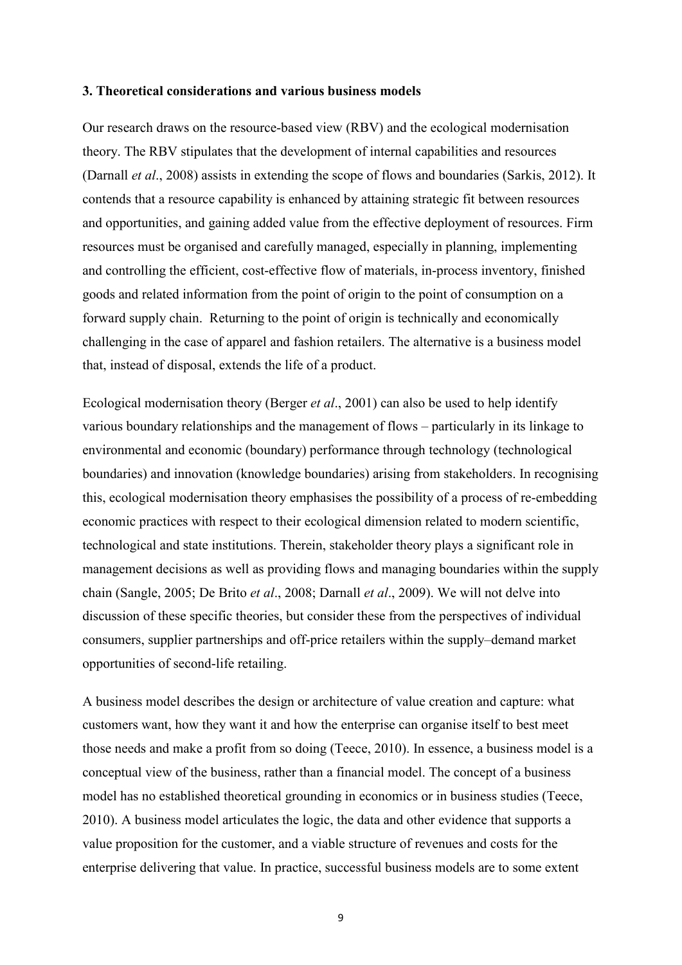#### **3. Theoretical considerations and various business models**

Our research draws on the resource-based view (RBV) and the ecological modernisation theory. The RBV stipulates that the development of internal capabilities and resources (Darnall *et al*., 2008) assists in extending the scope of flows and boundaries (Sarkis, 2012). It contends that a resource capability is enhanced by attaining strategic fit between resources and opportunities, and gaining added value from the effective deployment of resources. Firm resources must be organised and carefully managed, especially in planning, implementing and controlling the efficient, cost-effective flow of materials, in-process inventory, finished goods and related information from the point of origin to the point of consumption on a forward supply chain. Returning to the point of origin is technically and economically challenging in the case of apparel and fashion retailers. The alternative is a business model that, instead of disposal, extends the life of a product.

Ecological modernisation theory (Berger *et al*., 2001) can also be used to help identify various boundary relationships and the management of flows – particularly in its linkage to environmental and economic (boundary) performance through technology (technological boundaries) and innovation (knowledge boundaries) arising from stakeholders. In recognising this, ecological modernisation theory emphasises the possibility of a process of re-embedding economic practices with respect to their ecological dimension related to modern scientific, technological and state institutions. Therein, stakeholder theory plays a significant role in management decisions as well as providing flows and managing boundaries within the supply chain (Sangle, 2005; De Brito *et al*., 2008; Darnall *et al*., 2009). We will not delve into discussion of these specific theories, but consider these from the perspectives of individual consumers, supplier partnerships and off-price retailers within the supply–demand market opportunities of second-life retailing.

A business model describes the design or architecture of value creation and capture: what customers want, how they want it and how the enterprise can organise itself to best meet those needs and make a profit from so doing (Teece, 2010). In essence, a business model is a conceptual view of the business, rather than a financial model. The concept of a business model has no established theoretical grounding in economics or in business studies (Teece, 2010). A business model articulates the logic, the data and other evidence that supports a value proposition for the customer, and a viable structure of revenues and costs for the enterprise delivering that value. In practice, successful business models are to some extent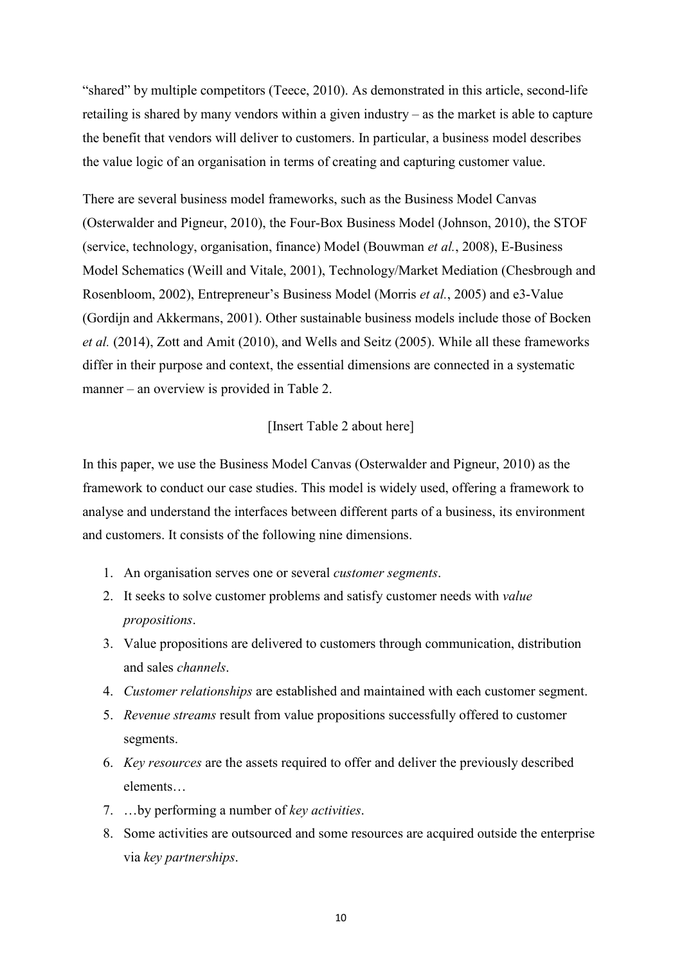"shared" by multiple competitors (Teece, 2010). As demonstrated in this article, second-life retailing is shared by many vendors within a given industry – as the market is able to capture the benefit that vendors will deliver to customers. In particular, a business model describes the value logic of an organisation in terms of creating and capturing customer value.

There are several business model frameworks, such as the Business Model Canvas (Osterwalder and Pigneur, 2010), the Four-Box Business Model (Johnson, 2010), the STOF (service, technology, organisation, finance) Model (Bouwman *et al.*, 2008), E-Business Model Schematics (Weill and Vitale, 2001), Technology/Market Mediation (Chesbrough and Rosenbloom, 2002), Entrepreneur's Business Model (Morris *et al.*, 2005) and e3-Value (Gordijn and Akkermans, 2001). Other sustainable business models include those of Bocken *et al.* (2014), Zott and Amit (2010), and Wells and Seitz (2005). While all these frameworks differ in their purpose and context, the essential dimensions are connected in a systematic manner – an overview is provided in Table 2.

# [Insert Table 2 about here]

In this paper, we use the Business Model Canvas (Osterwalder and Pigneur, 2010) as the framework to conduct our case studies. This model is widely used, offering a framework to analyse and understand the interfaces between different parts of a business, its environment and customers. It consists of the following nine dimensions.

- 1. An organisation serves one or several *customer segments*.
- 2. It seeks to solve customer problems and satisfy customer needs with *value propositions*.
- 3. Value propositions are delivered to customers through communication, distribution and sales *channels*.
- 4. *Customer relationships* are established and maintained with each customer segment.
- 5. *Revenue streams* result from value propositions successfully offered to customer segments.
- 6. *Key resources* are the assets required to offer and deliver the previously described elements…
- 7. …by performing a number of *key activities*.
- 8. Some activities are outsourced and some resources are acquired outside the enterprise via *key partnerships*.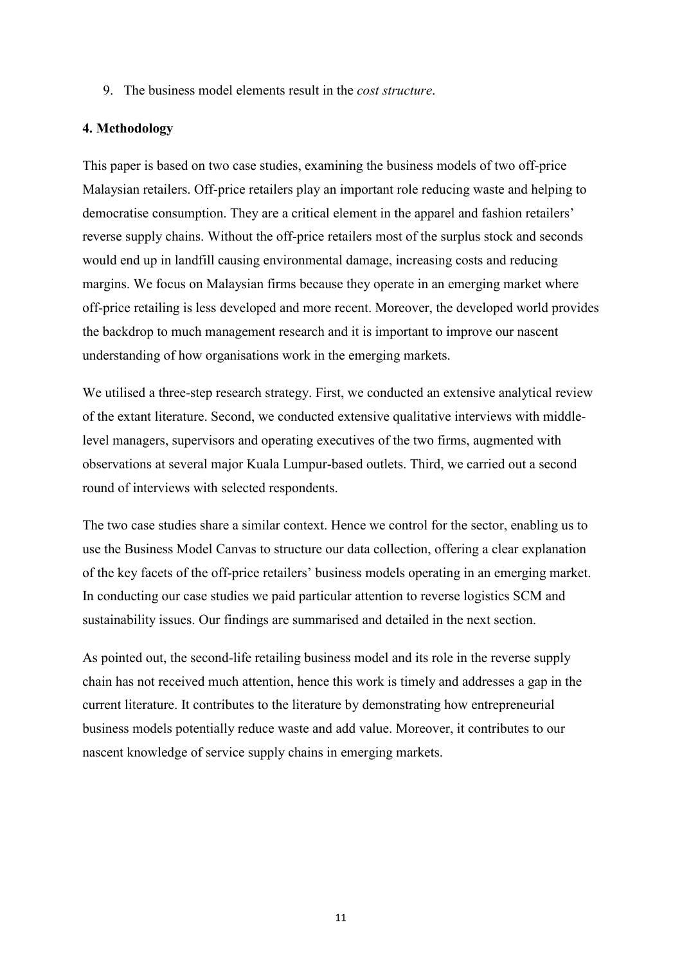9. The business model elements result in the *cost structure*.

# **4. Methodology**

This paper is based on two case studies, examining the business models of two off-price Malaysian retailers. Off-price retailers play an important role reducing waste and helping to democratise consumption. They are a critical element in the apparel and fashion retailers' reverse supply chains. Without the off-price retailers most of the surplus stock and seconds would end up in landfill causing environmental damage, increasing costs and reducing margins. We focus on Malaysian firms because they operate in an emerging market where off-price retailing is less developed and more recent. Moreover, the developed world provides the backdrop to much management research and it is important to improve our nascent understanding of how organisations work in the emerging markets.

We utilised a three-step research strategy. First, we conducted an extensive analytical review of the extant literature. Second, we conducted extensive qualitative interviews with middlelevel managers, supervisors and operating executives of the two firms, augmented with observations at several major Kuala Lumpur-based outlets. Third, we carried out a second round of interviews with selected respondents.

The two case studies share a similar context. Hence we control for the sector, enabling us to use the Business Model Canvas to structure our data collection, offering a clear explanation of the key facets of the off-price retailers' business models operating in an emerging market. In conducting our case studies we paid particular attention to reverse logistics SCM and sustainability issues. Our findings are summarised and detailed in the next section.

As pointed out, the second-life retailing business model and its role in the reverse supply chain has not received much attention, hence this work is timely and addresses a gap in the current literature. It contributes to the literature by demonstrating how entrepreneurial business models potentially reduce waste and add value. Moreover, it contributes to our nascent knowledge of service supply chains in emerging markets.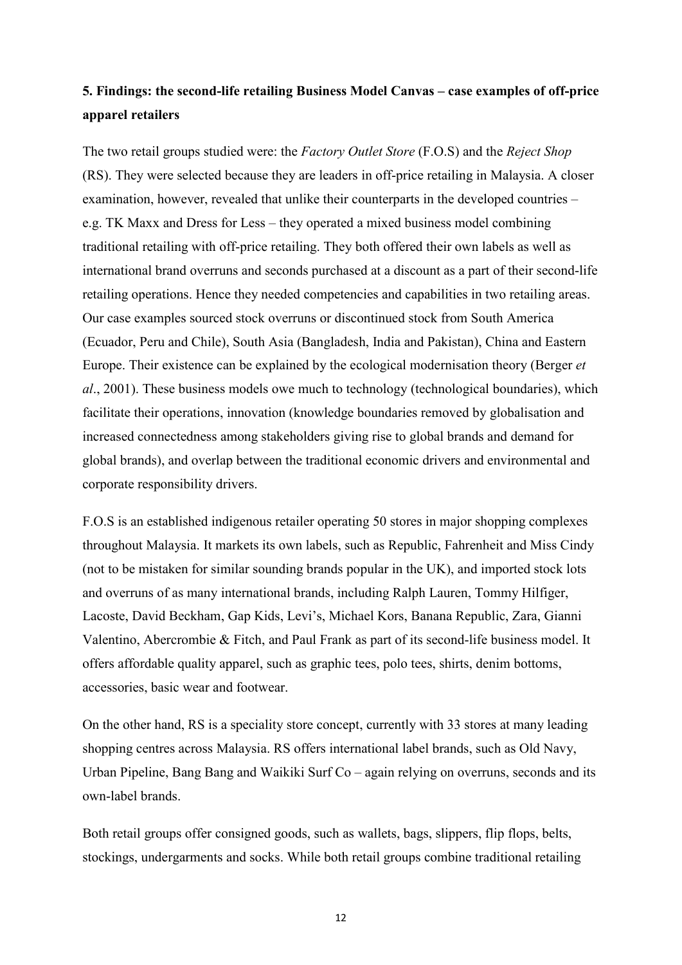# **5. Findings: the second-life retailing Business Model Canvas – case examples of off-price apparel retailers**

The two retail groups studied were: the *Factory Outlet Store* (F.O.S) and the *Reject Shop* (RS). They were selected because they are leaders in off-price retailing in Malaysia. A closer examination, however, revealed that unlike their counterparts in the developed countries – e.g. TK Maxx and Dress for Less – they operated a mixed business model combining traditional retailing with off-price retailing. They both offered their own labels as well as international brand overruns and seconds purchased at a discount as a part of their second-life retailing operations. Hence they needed competencies and capabilities in two retailing areas. Our case examples sourced stock overruns or discontinued stock from South America (Ecuador, Peru and Chile), South Asia (Bangladesh, India and Pakistan), China and Eastern Europe. Their existence can be explained by the ecological modernisation theory (Berger *et al*., 2001). These business models owe much to technology (technological boundaries), which facilitate their operations, innovation (knowledge boundaries removed by globalisation and increased connectedness among stakeholders giving rise to global brands and demand for global brands), and overlap between the traditional economic drivers and environmental and corporate responsibility drivers.

F.O.S is an established indigenous retailer operating 50 stores in major shopping complexes throughout Malaysia. It markets its own labels, such as Republic, Fahrenheit and Miss Cindy (not to be mistaken for similar sounding brands popular in the UK), and imported stock lots and overruns of as many international brands, including Ralph Lauren, Tommy Hilfiger, Lacoste, David Beckham, Gap Kids, Levi's, Michael Kors, Banana Republic, Zara, Gianni Valentino, Abercrombie & Fitch, and Paul Frank as part of its second-life business model. It offers affordable quality apparel, such as graphic tees, polo tees, shirts, denim bottoms, accessories, basic wear and footwear.

On the other hand, RS is a speciality store concept, currently with 33 stores at many leading shopping centres across Malaysia. RS offers international label brands, such as Old Navy, Urban Pipeline, Bang Bang and Waikiki Surf Co – again relying on overruns, seconds and its own-label brands.

Both retail groups offer consigned goods, such as wallets, bags, slippers, flip flops, belts, stockings, undergarments and socks. While both retail groups combine traditional retailing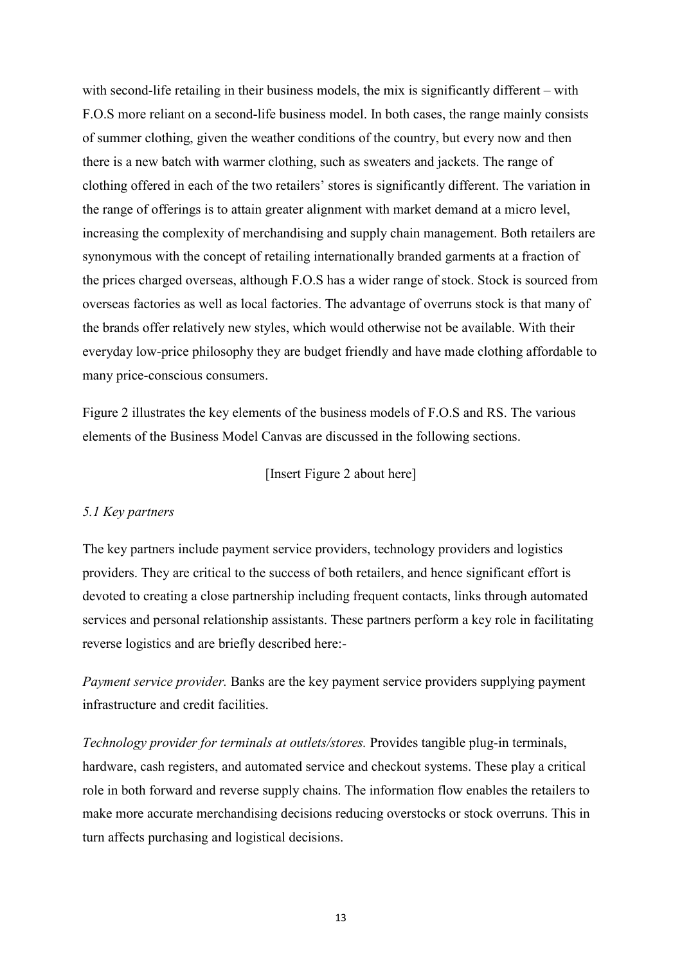with second-life retailing in their business models, the mix is significantly different – with F.O.S more reliant on a second-life business model. In both cases, the range mainly consists of summer clothing, given the weather conditions of the country, but every now and then there is a new batch with warmer clothing, such as sweaters and jackets. The range of clothing offered in each of the two retailers' stores is significantly different. The variation in the range of offerings is to attain greater alignment with market demand at a micro level, increasing the complexity of merchandising and supply chain management. Both retailers are synonymous with the concept of retailing internationally branded garments at a fraction of the prices charged overseas, although F.O.S has a wider range of stock. Stock is sourced from overseas factories as well as local factories. The advantage of overruns stock is that many of the brands offer relatively new styles, which would otherwise not be available. With their everyday low-price philosophy they are budget friendly and have made clothing affordable to many price-conscious consumers.

Figure 2 illustrates the key elements of the business models of F.O.S and RS. The various elements of the Business Model Canvas are discussed in the following sections.

[Insert Figure 2 about here]

#### *5.1 Key partners*

The key partners include payment service providers, technology providers and logistics providers. They are critical to the success of both retailers, and hence significant effort is devoted to creating a close partnership including frequent contacts, links through automated services and personal relationship assistants. These partners perform a key role in facilitating reverse logistics and are briefly described here:-

*Payment service provider.* Banks are the key payment service providers supplying payment infrastructure and credit facilities.

*Technology provider for terminals at outlets/stores.* Provides tangible plug-in terminals, hardware, cash registers, and automated service and checkout systems. These play a critical role in both forward and reverse supply chains. The information flow enables the retailers to make more accurate merchandising decisions reducing overstocks or stock overruns. This in turn affects purchasing and logistical decisions.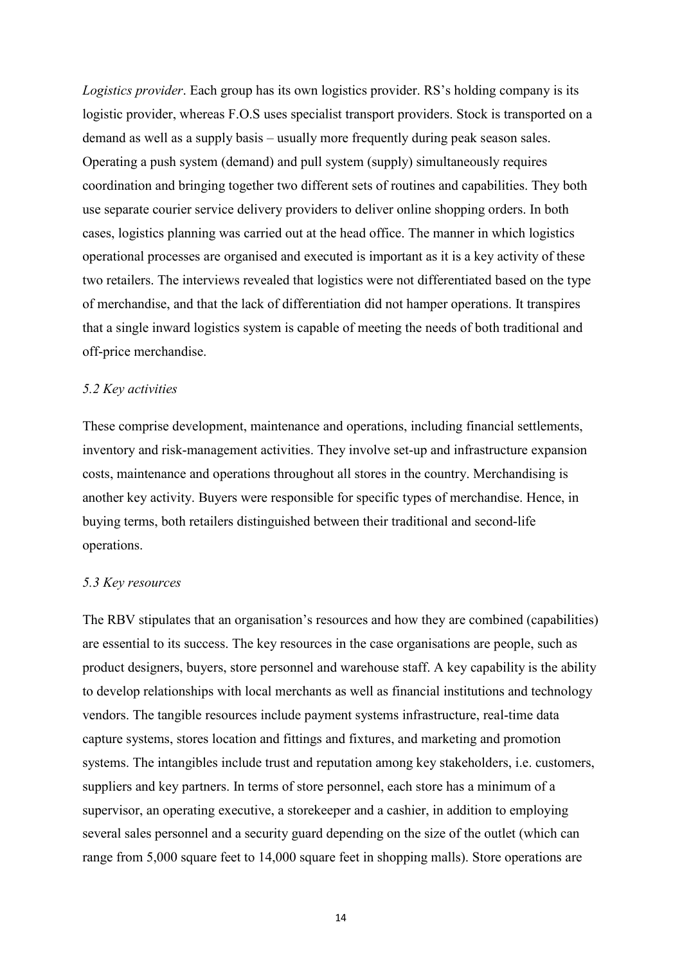*Logistics provider*. Each group has its own logistics provider. RS's holding company is its logistic provider, whereas F.O.S uses specialist transport providers. Stock is transported on a demand as well as a supply basis – usually more frequently during peak season sales. Operating a push system (demand) and pull system (supply) simultaneously requires coordination and bringing together two different sets of routines and capabilities. They both use separate courier service delivery providers to deliver online shopping orders. In both cases, logistics planning was carried out at the head office. The manner in which logistics operational processes are organised and executed is important as it is a key activity of these two retailers. The interviews revealed that logistics were not differentiated based on the type of merchandise, and that the lack of differentiation did not hamper operations. It transpires that a single inward logistics system is capable of meeting the needs of both traditional and off-price merchandise.

#### *5.2 Key activities*

These comprise development, maintenance and operations, including financial settlements, inventory and risk-management activities. They involve set-up and infrastructure expansion costs, maintenance and operations throughout all stores in the country. Merchandising is another key activity. Buyers were responsible for specific types of merchandise. Hence, in buying terms, both retailers distinguished between their traditional and second-life operations.

#### *5.3 Key resources*

The RBV stipulates that an organisation's resources and how they are combined (capabilities) are essential to its success. The key resources in the case organisations are people, such as product designers, buyers, store personnel and warehouse staff. A key capability is the ability to develop relationships with local merchants as well as financial institutions and technology vendors. The tangible resources include payment systems infrastructure, real-time data capture systems, stores location and fittings and fixtures, and marketing and promotion systems. The intangibles include trust and reputation among key stakeholders, i.e. customers, suppliers and key partners. In terms of store personnel, each store has a minimum of a supervisor, an operating executive, a storekeeper and a cashier, in addition to employing several sales personnel and a security guard depending on the size of the outlet (which can range from 5,000 square feet to 14,000 square feet in shopping malls). Store operations are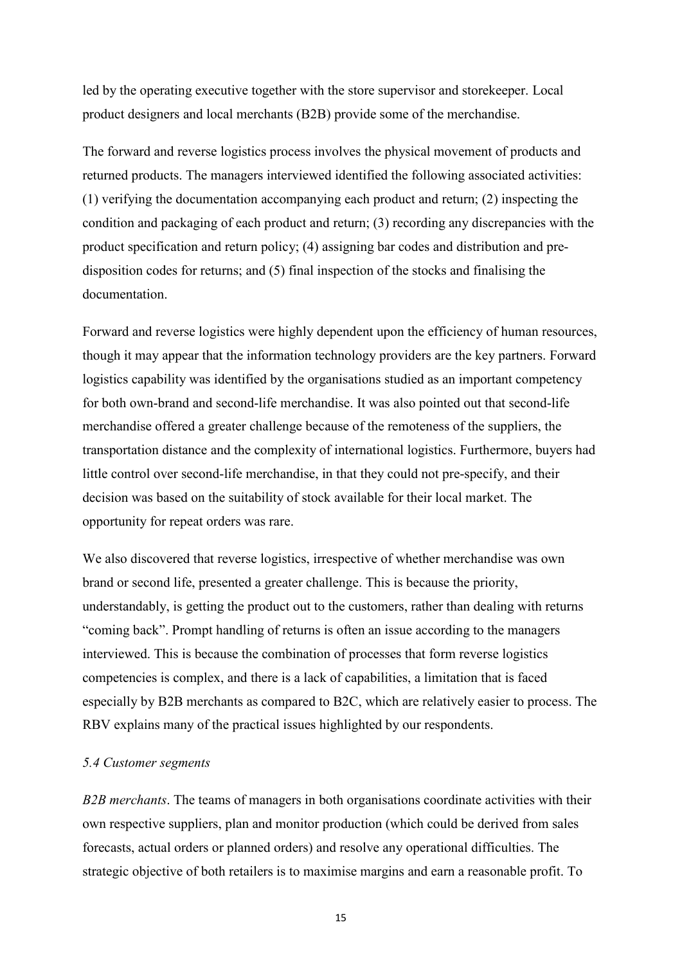led by the operating executive together with the store supervisor and storekeeper. Local product designers and local merchants (B2B) provide some of the merchandise.

The forward and reverse logistics process involves the physical movement of products and returned products. The managers interviewed identified the following associated activities: (1) verifying the documentation accompanying each product and return; (2) inspecting the condition and packaging of each product and return; (3) recording any discrepancies with the product specification and return policy; (4) assigning bar codes and distribution and predisposition codes for returns; and (5) final inspection of the stocks and finalising the documentation.

Forward and reverse logistics were highly dependent upon the efficiency of human resources, though it may appear that the information technology providers are the key partners. Forward logistics capability was identified by the organisations studied as an important competency for both own-brand and second-life merchandise. It was also pointed out that second-life merchandise offered a greater challenge because of the remoteness of the suppliers, the transportation distance and the complexity of international logistics. Furthermore, buyers had little control over second-life merchandise, in that they could not pre-specify, and their decision was based on the suitability of stock available for their local market. The opportunity for repeat orders was rare.

We also discovered that reverse logistics, irrespective of whether merchandise was own brand or second life, presented a greater challenge. This is because the priority, understandably, is getting the product out to the customers, rather than dealing with returns "coming back". Prompt handling of returns is often an issue according to the managers interviewed. This is because the combination of processes that form reverse logistics competencies is complex, and there is a lack of capabilities, a limitation that is faced especially by B2B merchants as compared to B2C, which are relatively easier to process. The RBV explains many of the practical issues highlighted by our respondents.

## *5.4 Customer segments*

*B2B merchants*. The teams of managers in both organisations coordinate activities with their own respective suppliers, plan and monitor production (which could be derived from sales forecasts, actual orders or planned orders) and resolve any operational difficulties. The strategic objective of both retailers is to maximise margins and earn a reasonable profit. To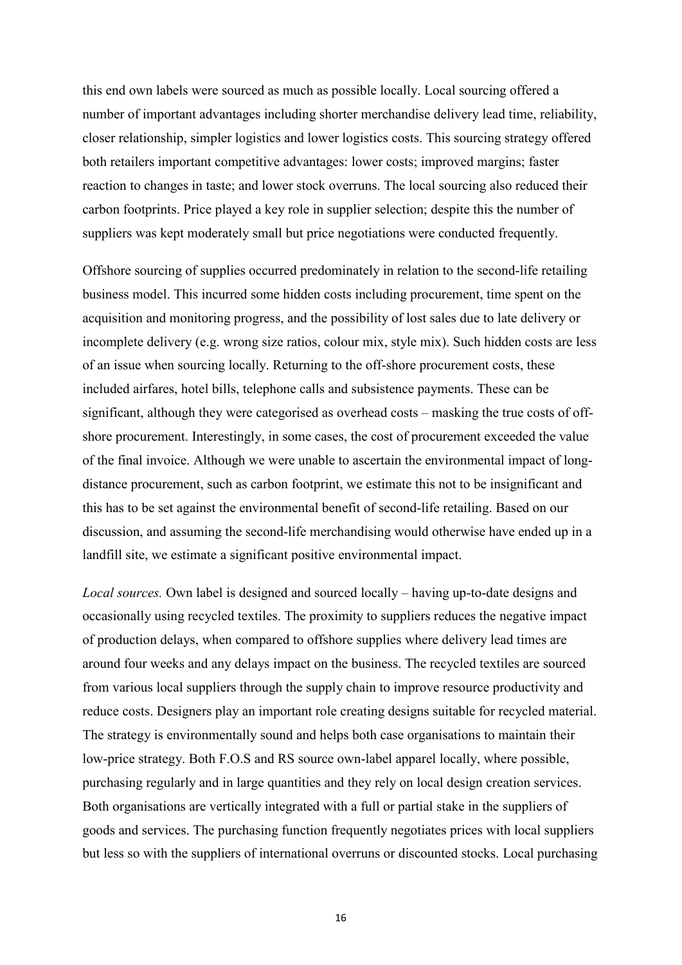this end own labels were sourced as much as possible locally. Local sourcing offered a number of important advantages including shorter merchandise delivery lead time, reliability, closer relationship, simpler logistics and lower logistics costs. This sourcing strategy offered both retailers important competitive advantages: lower costs; improved margins; faster reaction to changes in taste; and lower stock overruns. The local sourcing also reduced their carbon footprints. Price played a key role in supplier selection; despite this the number of suppliers was kept moderately small but price negotiations were conducted frequently.

Offshore sourcing of supplies occurred predominately in relation to the second-life retailing business model. This incurred some hidden costs including procurement, time spent on the acquisition and monitoring progress, and the possibility of lost sales due to late delivery or incomplete delivery (e.g. wrong size ratios, colour mix, style mix). Such hidden costs are less of an issue when sourcing locally. Returning to the off-shore procurement costs, these included airfares, hotel bills, telephone calls and subsistence payments. These can be significant, although they were categorised as overhead costs – masking the true costs of offshore procurement. Interestingly, in some cases, the cost of procurement exceeded the value of the final invoice. Although we were unable to ascertain the environmental impact of longdistance procurement, such as carbon footprint, we estimate this not to be insignificant and this has to be set against the environmental benefit of second-life retailing. Based on our discussion, and assuming the second-life merchandising would otherwise have ended up in a landfill site, we estimate a significant positive environmental impact.

*Local sources.* Own label is designed and sourced locally – having up-to-date designs and occasionally using recycled textiles. The proximity to suppliers reduces the negative impact of production delays, when compared to offshore supplies where delivery lead times are around four weeks and any delays impact on the business. The recycled textiles are sourced from various local suppliers through the supply chain to improve resource productivity and reduce costs. Designers play an important role creating designs suitable for recycled material. The strategy is environmentally sound and helps both case organisations to maintain their low-price strategy. Both F.O.S and RS source own-label apparel locally, where possible, purchasing regularly and in large quantities and they rely on local design creation services. Both organisations are vertically integrated with a full or partial stake in the suppliers of goods and services. The purchasing function frequently negotiates prices with local suppliers but less so with the suppliers of international overruns or discounted stocks. Local purchasing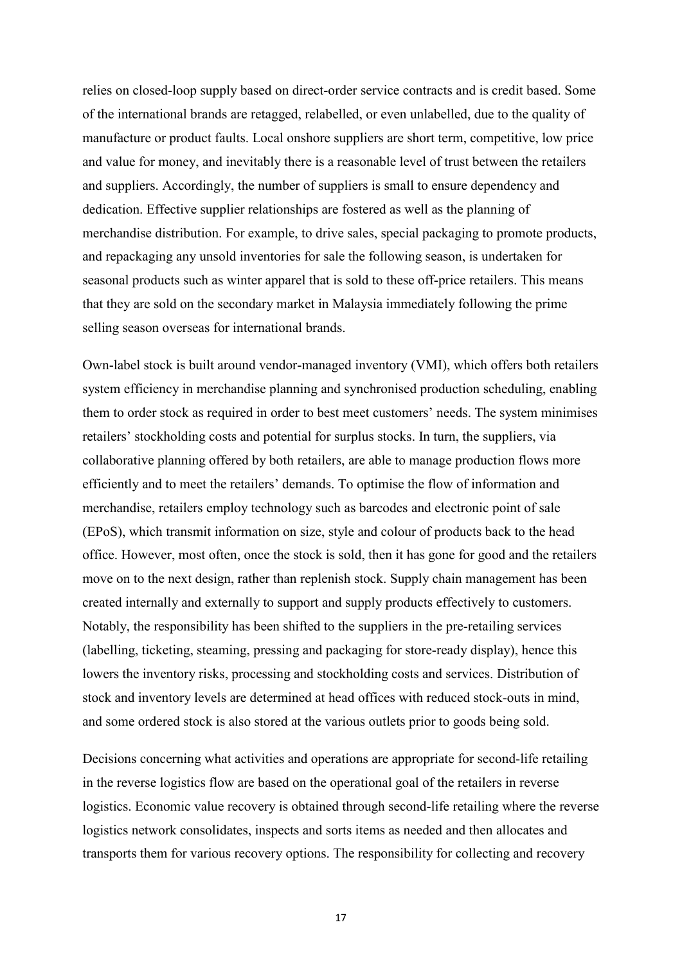relies on closed-loop supply based on direct-order service contracts and is credit based. Some of the international brands are retagged, relabelled, or even unlabelled, due to the quality of manufacture or product faults. Local onshore suppliers are short term, competitive, low price and value for money, and inevitably there is a reasonable level of trust between the retailers and suppliers. Accordingly, the number of suppliers is small to ensure dependency and dedication. Effective supplier relationships are fostered as well as the planning of merchandise distribution. For example, to drive sales, special packaging to promote products, and repackaging any unsold inventories for sale the following season, is undertaken for seasonal products such as winter apparel that is sold to these off-price retailers. This means that they are sold on the secondary market in Malaysia immediately following the prime selling season overseas for international brands.

Own-label stock is built around vendor-managed inventory (VMI), which offers both retailers system efficiency in merchandise planning and synchronised production scheduling, enabling them to order stock as required in order to best meet customers' needs. The system minimises retailers' stockholding costs and potential for surplus stocks. In turn, the suppliers, via collaborative planning offered by both retailers, are able to manage production flows more efficiently and to meet the retailers' demands. To optimise the flow of information and merchandise, retailers employ technology such as barcodes and electronic point of sale (EPoS), which transmit information on size, style and colour of products back to the head office. However, most often, once the stock is sold, then it has gone for good and the retailers move on to the next design, rather than replenish stock. Supply chain management has been created internally and externally to support and supply products effectively to customers. Notably, the responsibility has been shifted to the suppliers in the pre-retailing services (labelling, ticketing, steaming, pressing and packaging for store-ready display), hence this lowers the inventory risks, processing and stockholding costs and services. Distribution of stock and inventory levels are determined at head offices with reduced stock-outs in mind, and some ordered stock is also stored at the various outlets prior to goods being sold.

Decisions concerning what activities and operations are appropriate for second-life retailing in the reverse logistics flow are based on the operational goal of the retailers in reverse logistics. Economic value recovery is obtained through second-life retailing where the reverse logistics network consolidates, inspects and sorts items as needed and then allocates and transports them for various recovery options. The responsibility for collecting and recovery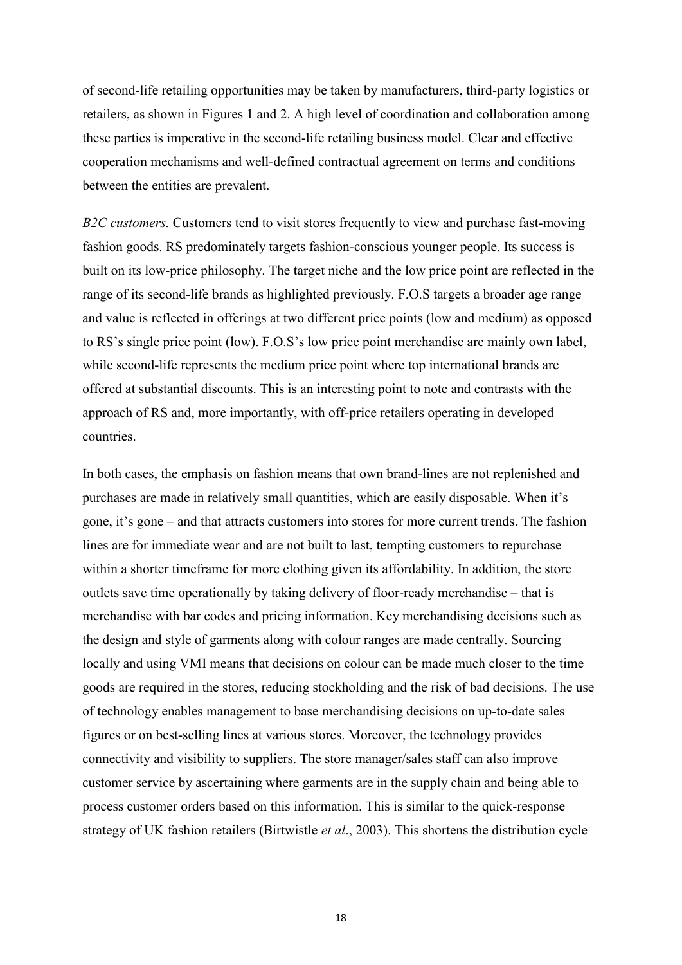of second-life retailing opportunities may be taken by manufacturers, third-party logistics or retailers, as shown in Figures 1 and 2. A high level of coordination and collaboration among these parties is imperative in the second-life retailing business model. Clear and effective cooperation mechanisms and well-defined contractual agreement on terms and conditions between the entities are prevalent.

*B2C customers.* Customers tend to visit stores frequently to view and purchase fast-moving fashion goods. RS predominately targets fashion-conscious younger people. Its success is built on its low-price philosophy. The target niche and the low price point are reflected in the range of its second-life brands as highlighted previously. F.O.S targets a broader age range and value is reflected in offerings at two different price points (low and medium) as opposed to RS's single price point (low). F.O.S's low price point merchandise are mainly own label, while second-life represents the medium price point where top international brands are offered at substantial discounts. This is an interesting point to note and contrasts with the approach of RS and, more importantly, with off-price retailers operating in developed countries.

In both cases, the emphasis on fashion means that own brand-lines are not replenished and purchases are made in relatively small quantities, which are easily disposable. When it's gone, it's gone – and that attracts customers into stores for more current trends. The fashion lines are for immediate wear and are not built to last, tempting customers to repurchase within a shorter timeframe for more clothing given its affordability. In addition, the store outlets save time operationally by taking delivery of floor-ready merchandise – that is merchandise with bar codes and pricing information. Key merchandising decisions such as the design and style of garments along with colour ranges are made centrally. Sourcing locally and using VMI means that decisions on colour can be made much closer to the time goods are required in the stores, reducing stockholding and the risk of bad decisions. The use of technology enables management to base merchandising decisions on up-to-date sales figures or on best-selling lines at various stores. Moreover, the technology provides connectivity and visibility to suppliers. The store manager/sales staff can also improve customer service by ascertaining where garments are in the supply chain and being able to process customer orders based on this information. This is similar to the quick-response strategy of UK fashion retailers (Birtwistle *et al*., 2003). This shortens the distribution cycle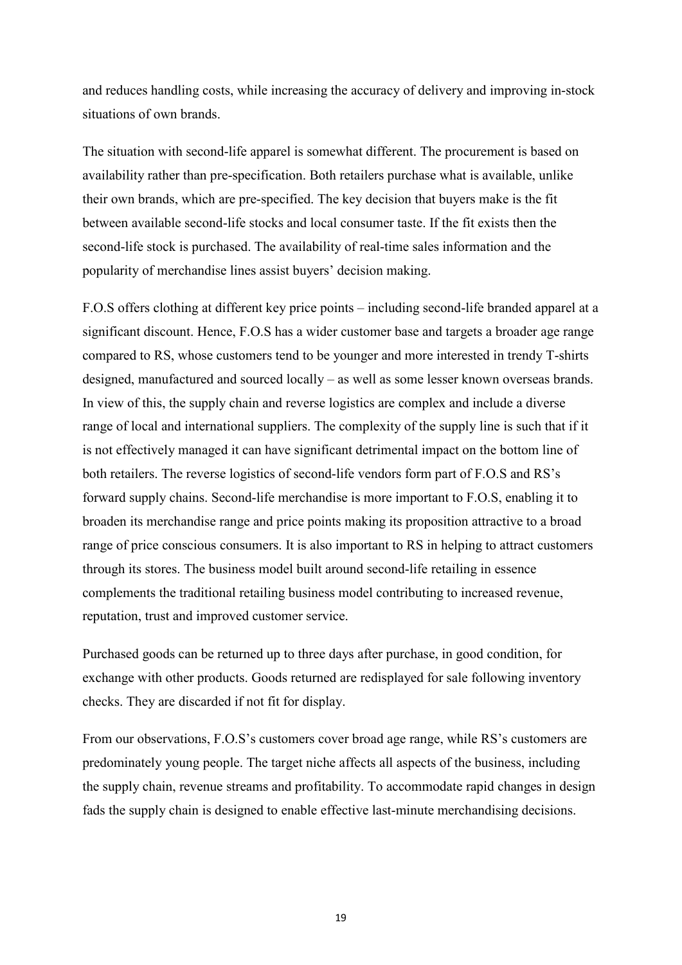and reduces handling costs, while increasing the accuracy of delivery and improving in-stock situations of own brands.

The situation with second-life apparel is somewhat different. The procurement is based on availability rather than pre-specification. Both retailers purchase what is available, unlike their own brands, which are pre-specified. The key decision that buyers make is the fit between available second-life stocks and local consumer taste. If the fit exists then the second-life stock is purchased. The availability of real-time sales information and the popularity of merchandise lines assist buyers' decision making.

F.O.S offers clothing at different key price points – including second-life branded apparel at a significant discount. Hence, F.O.S has a wider customer base and targets a broader age range compared to RS, whose customers tend to be younger and more interested in trendy T-shirts designed, manufactured and sourced locally – as well as some lesser known overseas brands. In view of this, the supply chain and reverse logistics are complex and include a diverse range of local and international suppliers. The complexity of the supply line is such that if it is not effectively managed it can have significant detrimental impact on the bottom line of both retailers. The reverse logistics of second-life vendors form part of F.O.S and RS's forward supply chains. Second-life merchandise is more important to F.O.S, enabling it to broaden its merchandise range and price points making its proposition attractive to a broad range of price conscious consumers. It is also important to RS in helping to attract customers through its stores. The business model built around second-life retailing in essence complements the traditional retailing business model contributing to increased revenue, reputation, trust and improved customer service.

Purchased goods can be returned up to three days after purchase, in good condition, for exchange with other products. Goods returned are redisplayed for sale following inventory checks. They are discarded if not fit for display.

From our observations, F.O.S's customers cover broad age range, while RS's customers are predominately young people. The target niche affects all aspects of the business, including the supply chain, revenue streams and profitability. To accommodate rapid changes in design fads the supply chain is designed to enable effective last-minute merchandising decisions.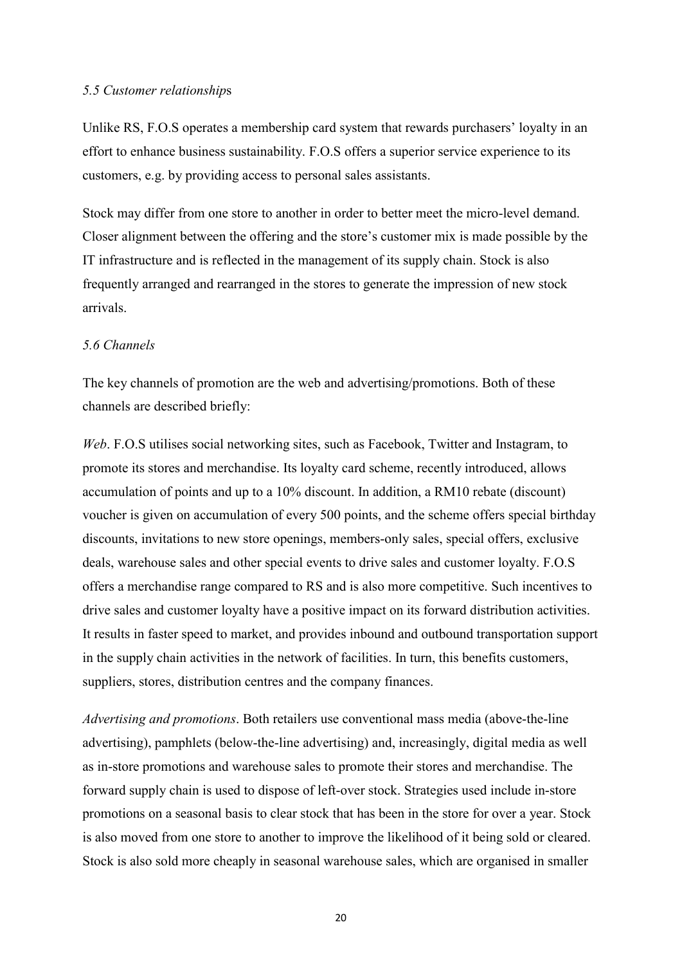### *5.5 Customer relationship*s

Unlike RS, F.O.S operates a membership card system that rewards purchasers' loyalty in an effort to enhance business sustainability. F.O.S offers a superior service experience to its customers, e.g. by providing access to personal sales assistants.

Stock may differ from one store to another in order to better meet the micro-level demand. Closer alignment between the offering and the store's customer mix is made possible by the IT infrastructure and is reflected in the management of its supply chain. Stock is also frequently arranged and rearranged in the stores to generate the impression of new stock arrivals.

# *5.6 Channels*

The key channels of promotion are the web and advertising/promotions. Both of these channels are described briefly:

*Web*. F.O.S utilises social networking sites, such as Facebook, Twitter and Instagram, to promote its stores and merchandise. Its loyalty card scheme, recently introduced, allows accumulation of points and up to a 10% discount. In addition, a RM10 rebate (discount) voucher is given on accumulation of every 500 points, and the scheme offers special birthday discounts, invitations to new store openings, members-only sales, special offers, exclusive deals, warehouse sales and other special events to drive sales and customer loyalty. F.O.S offers a merchandise range compared to RS and is also more competitive. Such incentives to drive sales and customer loyalty have a positive impact on its forward distribution activities. It results in faster speed to market, and provides inbound and outbound transportation support in the supply chain activities in the network of facilities. In turn, this benefits customers, suppliers, stores, distribution centres and the company finances.

*Advertising and promotions*. Both retailers use conventional mass media (above-the-line advertising), pamphlets (below-the-line advertising) and, increasingly, digital media as well as in-store promotions and warehouse sales to promote their stores and merchandise. The forward supply chain is used to dispose of left-over stock. Strategies used include in-store promotions on a seasonal basis to clear stock that has been in the store for over a year. Stock is also moved from one store to another to improve the likelihood of it being sold or cleared. Stock is also sold more cheaply in seasonal warehouse sales, which are organised in smaller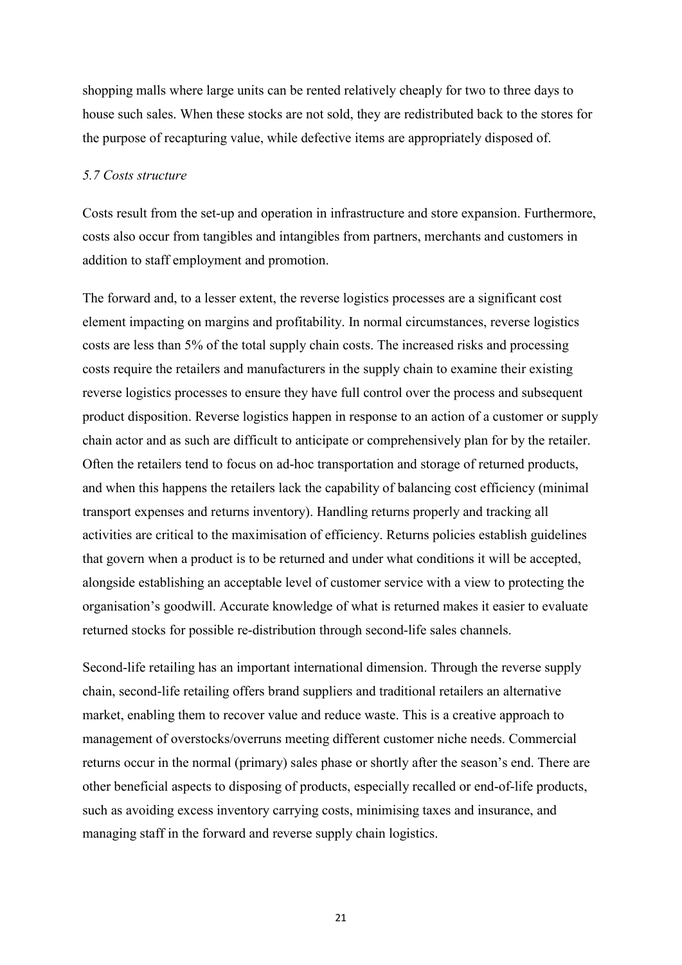shopping malls where large units can be rented relatively cheaply for two to three days to house such sales. When these stocks are not sold, they are redistributed back to the stores for the purpose of recapturing value, while defective items are appropriately disposed of.

#### *5.7 Costs structure*

Costs result from the set-up and operation in infrastructure and store expansion. Furthermore, costs also occur from tangibles and intangibles from partners, merchants and customers in addition to staff employment and promotion.

The forward and, to a lesser extent, the reverse logistics processes are a significant cost element impacting on margins and profitability. In normal circumstances, reverse logistics costs are less than 5% of the total supply chain costs. The increased risks and processing costs require the retailers and manufacturers in the supply chain to examine their existing reverse logistics processes to ensure they have full control over the process and subsequent product disposition. Reverse logistics happen in response to an action of a customer or supply chain actor and as such are difficult to anticipate or comprehensively plan for by the retailer. Often the retailers tend to focus on ad-hoc transportation and storage of returned products, and when this happens the retailers lack the capability of balancing cost efficiency (minimal transport expenses and returns inventory). Handling returns properly and tracking all activities are critical to the maximisation of efficiency. Returns policies establish guidelines that govern when a product is to be returned and under what conditions it will be accepted, alongside establishing an acceptable level of customer service with a view to protecting the organisation's goodwill. Accurate knowledge of what is returned makes it easier to evaluate returned stocks for possible re-distribution through second-life sales channels.

Second-life retailing has an important international dimension. Through the reverse supply chain, second-life retailing offers brand suppliers and traditional retailers an alternative market, enabling them to recover value and reduce waste. This is a creative approach to management of overstocks/overruns meeting different customer niche needs. Commercial returns occur in the normal (primary) sales phase or shortly after the season's end. There are other beneficial aspects to disposing of products, especially recalled or end-of-life products, such as avoiding excess inventory carrying costs, minimising taxes and insurance, and managing staff in the forward and reverse supply chain logistics.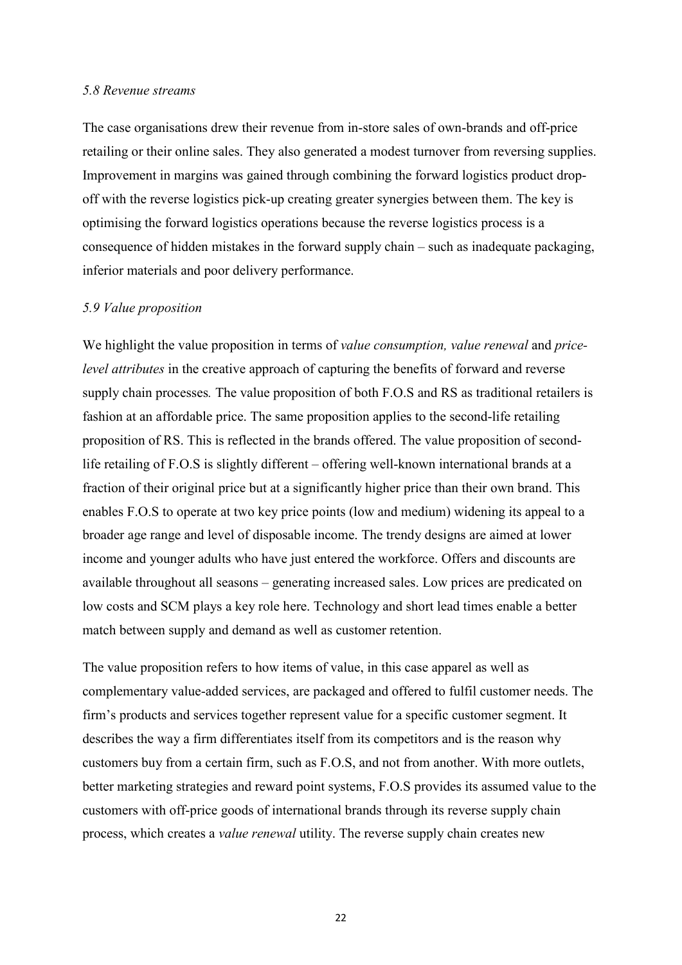#### *5.8 Revenue streams*

The case organisations drew their revenue from in-store sales of own-brands and off-price retailing or their online sales. They also generated a modest turnover from reversing supplies. Improvement in margins was gained through combining the forward logistics product dropoff with the reverse logistics pick-up creating greater synergies between them. The key is optimising the forward logistics operations because the reverse logistics process is a consequence of hidden mistakes in the forward supply chain – such as inadequate packaging, inferior materials and poor delivery performance.

#### *5.9 Value proposition*

We highlight the value proposition in terms of *value consumption, value renewal* and *pricelevel attributes* in the creative approach of capturing the benefits of forward and reverse supply chain processes*.* The value proposition of both F.O.S and RS as traditional retailers is fashion at an affordable price. The same proposition applies to the second-life retailing proposition of RS. This is reflected in the brands offered. The value proposition of secondlife retailing of F.O.S is slightly different – offering well-known international brands at a fraction of their original price but at a significantly higher price than their own brand. This enables F.O.S to operate at two key price points (low and medium) widening its appeal to a broader age range and level of disposable income. The trendy designs are aimed at lower income and younger adults who have just entered the workforce. Offers and discounts are available throughout all seasons – generating increased sales. Low prices are predicated on low costs and SCM plays a key role here. Technology and short lead times enable a better match between supply and demand as well as customer retention.

The value proposition refers to how items of value, in this case apparel as well as complementary value-added services, are packaged and offered to fulfil customer needs. The firm's products and services together represent value for a specific customer segment. It describes the way a firm differentiates itself from its competitors and is the reason why customers buy from a certain firm, such as F.O.S, and not from another. With more outlets, better marketing strategies and reward point systems, F.O.S provides its assumed value to the customers with off-price goods of international brands through its reverse supply chain process, which creates a *value renewal* utility. The reverse supply chain creates new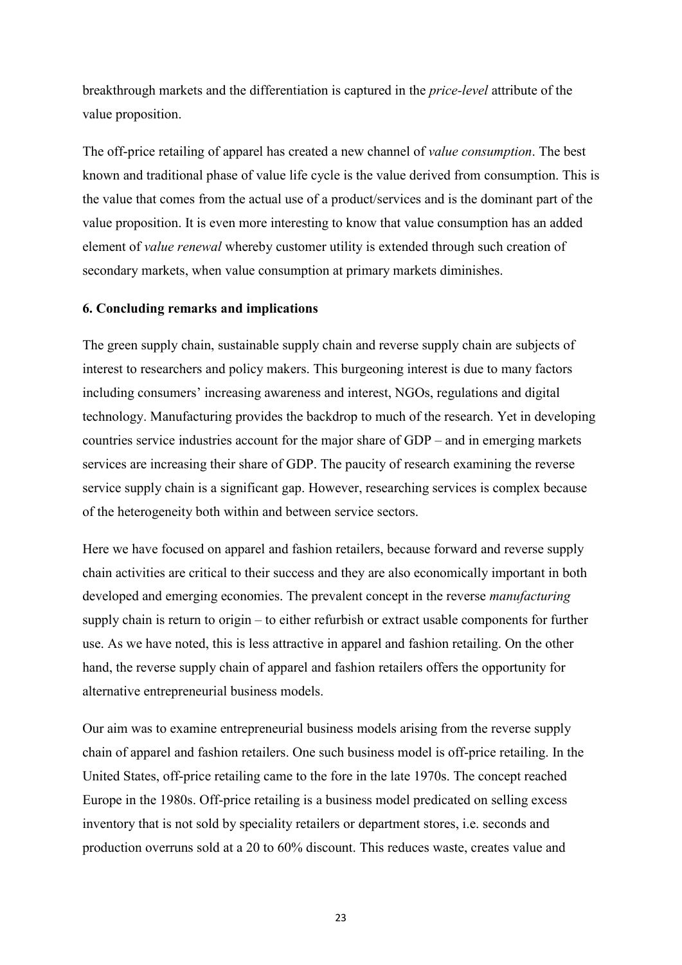breakthrough markets and the differentiation is captured in the *price-level* attribute of the value proposition.

The off-price retailing of apparel has created a new channel of *value consumption*. The best known and traditional phase of value life cycle is the value derived from consumption. This is the value that comes from the actual use of a product/services and is the dominant part of the value proposition. It is even more interesting to know that value consumption has an added element of *value renewal* whereby customer utility is extended through such creation of secondary markets, when value consumption at primary markets diminishes.

# **6. Concluding remarks and implications**

The green supply chain, sustainable supply chain and reverse supply chain are subjects of interest to researchers and policy makers. This burgeoning interest is due to many factors including consumers' increasing awareness and interest, NGOs, regulations and digital technology. Manufacturing provides the backdrop to much of the research. Yet in developing countries service industries account for the major share of GDP – and in emerging markets services are increasing their share of GDP. The paucity of research examining the reverse service supply chain is a significant gap. However, researching services is complex because of the heterogeneity both within and between service sectors.

Here we have focused on apparel and fashion retailers, because forward and reverse supply chain activities are critical to their success and they are also economically important in both developed and emerging economies. The prevalent concept in the reverse *manufacturing* supply chain is return to origin – to either refurbish or extract usable components for further use. As we have noted, this is less attractive in apparel and fashion retailing. On the other hand, the reverse supply chain of apparel and fashion retailers offers the opportunity for alternative entrepreneurial business models.

Our aim was to examine entrepreneurial business models arising from the reverse supply chain of apparel and fashion retailers. One such business model is off-price retailing. In the United States, off-price retailing came to the fore in the late 1970s. The concept reached Europe in the 1980s. Off-price retailing is a business model predicated on selling excess inventory that is not sold by speciality retailers or department stores, i.e. seconds and production overruns sold at a 20 to 60% discount. This reduces waste, creates value and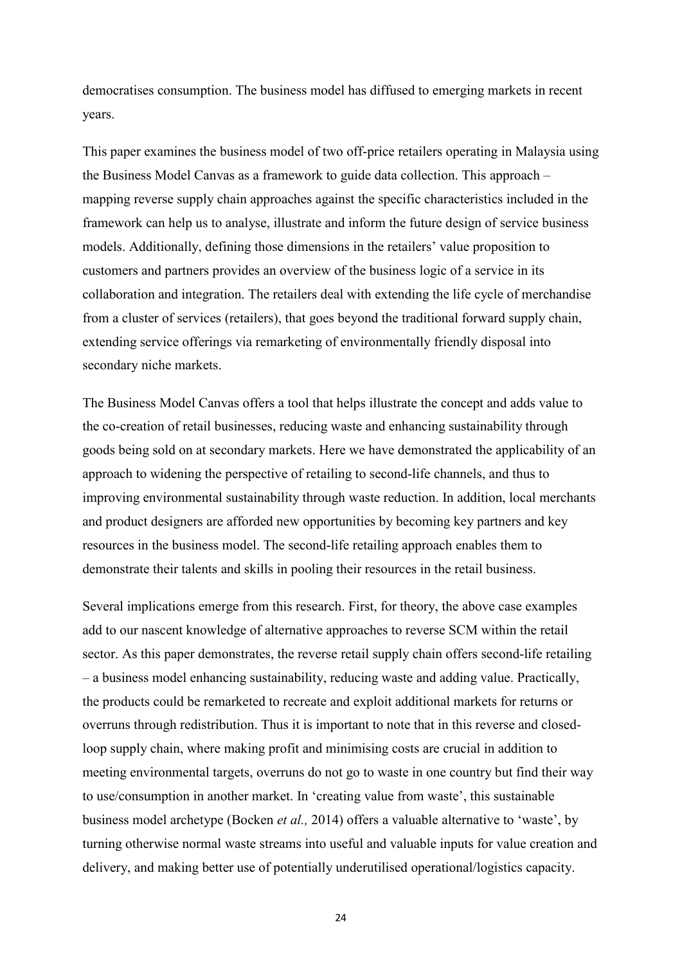democratises consumption. The business model has diffused to emerging markets in recent years.

This paper examines the business model of two off-price retailers operating in Malaysia using the Business Model Canvas as a framework to guide data collection. This approach – mapping reverse supply chain approaches against the specific characteristics included in the framework can help us to analyse, illustrate and inform the future design of service business models. Additionally, defining those dimensions in the retailers' value proposition to customers and partners provides an overview of the business logic of a service in its collaboration and integration. The retailers deal with extending the life cycle of merchandise from a cluster of services (retailers), that goes beyond the traditional forward supply chain, extending service offerings via remarketing of environmentally friendly disposal into secondary niche markets.

The Business Model Canvas offers a tool that helps illustrate the concept and adds value to the co-creation of retail businesses, reducing waste and enhancing sustainability through goods being sold on at secondary markets. Here we have demonstrated the applicability of an approach to widening the perspective of retailing to second-life channels, and thus to improving environmental sustainability through waste reduction. In addition, local merchants and product designers are afforded new opportunities by becoming key partners and key resources in the business model. The second-life retailing approach enables them to demonstrate their talents and skills in pooling their resources in the retail business.

Several implications emerge from this research. First, for theory, the above case examples add to our nascent knowledge of alternative approaches to reverse SCM within the retail sector. As this paper demonstrates, the reverse retail supply chain offers second-life retailing – a business model enhancing sustainability, reducing waste and adding value. Practically, the products could be remarketed to recreate and exploit additional markets for returns or overruns through redistribution. Thus it is important to note that in this reverse and closedloop supply chain, where making profit and minimising costs are crucial in addition to meeting environmental targets, overruns do not go to waste in one country but find their way to use/consumption in another market. In 'creating value from waste', this sustainable business model archetype (Bocken *et al.,* 2014) offers a valuable alternative to 'waste', by turning otherwise normal waste streams into useful and valuable inputs for value creation and delivery, and making better use of potentially underutilised operational/logistics capacity.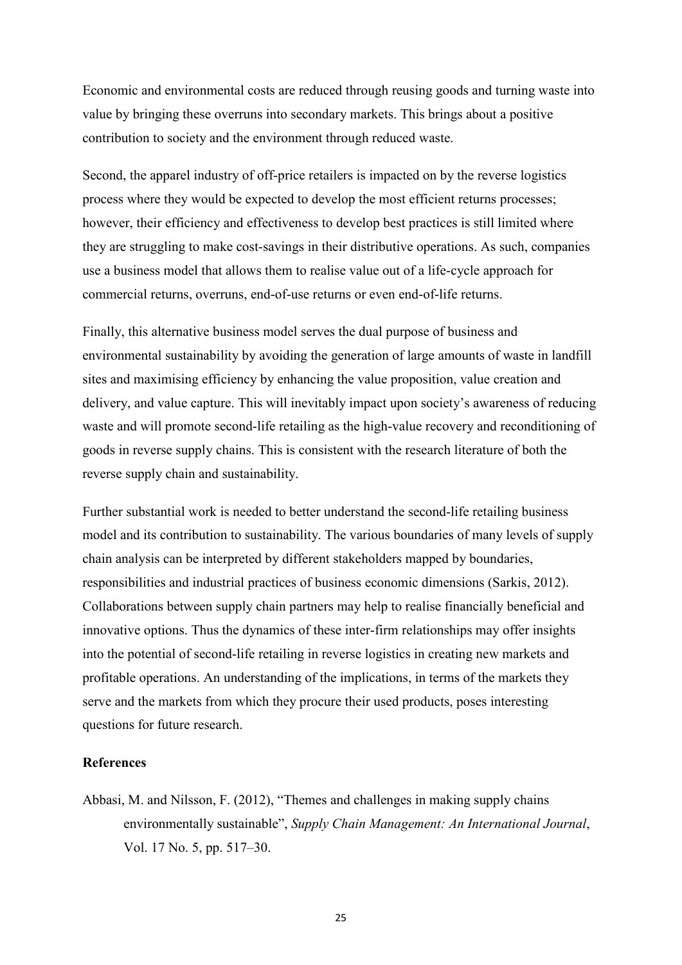Economic and environmental costs are reduced through reusing goods and turning waste into value by bringing these overruns into secondary markets. This brings about a positive contribution to society and the environment through reduced waste.

Second, the apparel industry of off-price retailers is impacted on by the reverse logistics process where they would be expected to develop the most efficient returns processes; however, their efficiency and effectiveness to develop best practices is still limited where they are struggling to make cost-savings in their distributive operations. As such, companies use a business model that allows them to realise value out of a life-cycle approach for commercial returns, overruns, end-of-use returns or even end-of-life returns.

Finally, this alternative business model serves the dual purpose of business and environmental sustainability by avoiding the generation of large amounts of waste in landfill sites and maximising efficiency by enhancing the value proposition, value creation and delivery, and value capture. This will inevitably impact upon society's awareness of reducing waste and will promote second-life retailing as the high-value recovery and reconditioning of goods in reverse supply chains. This is consistent with the research literature of both the reverse supply chain and sustainability.

Further substantial work is needed to better understand the second-life retailing business model and its contribution to sustainability. The various boundaries of many levels of supply chain analysis can be interpreted by different stakeholders mapped by boundaries, responsibilities and industrial practices of business economic dimensions (Sarkis, 2012). Collaborations between supply chain partners may help to realise financially beneficial and innovative options. Thus the dynamics of these inter-firm relationships may offer insights into the potential of second-life retailing in reverse logistics in creating new markets and profitable operations. An understanding of the implications, in terms of the markets they serve and the markets from which they procure their used products, poses interesting questions for future research.

# **References**

Abbasi, M. and Nilsson, F. (2012), "Themes and challenges in making supply chains environmentally sustainable", *Supply Chain Management: An International Journal*, Vol. 17 No. 5, pp. 517–30.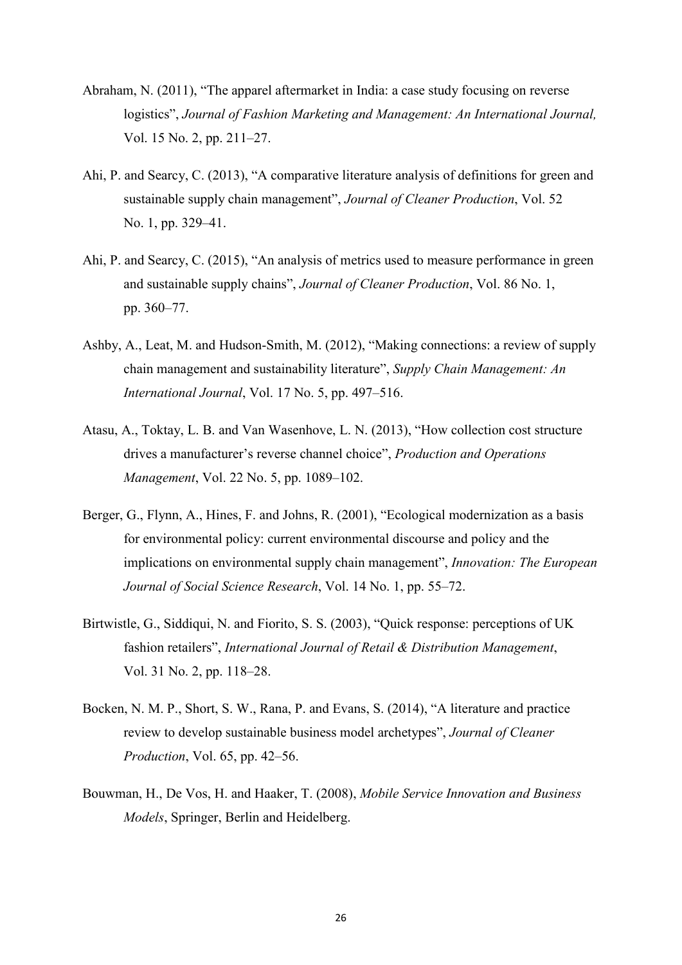- Abraham, N. (2011), "The apparel aftermarket in India: a case study focusing on reverse logistics", *Journal of Fashion Marketing and Management: An International Journal,* Vol. 15 No. 2, pp. 211–27.
- Ahi, P. and Searcy, C. (2013), "A comparative literature analysis of definitions for green and sustainable supply chain management", *Journal of Cleaner Production*, Vol. 52 No. 1, pp. 329–41.
- Ahi, P. and Searcy, C. (2015), "An analysis of metrics used to measure performance in green and sustainable supply chains", *Journal of Cleaner Production*, Vol. 86 No. 1, pp. 360–77.
- Ashby, A., Leat, M. and Hudson-Smith, M. (2012), "Making connections: a review of supply chain management and sustainability literature", *Supply Chain Management: An International Journal*, Vol. 17 No. 5, pp. 497–516.
- Atasu, A., Toktay, L. B. and Van Wasenhove, L. N. (2013), "How collection cost structure drives a manufacturer's reverse channel choice", *Production and Operations Management*, Vol. 22 No. 5, pp. 1089–102.
- Berger, G., Flynn, A., Hines, F. and Johns, R. (2001), "Ecological modernization as a basis for environmental policy: current environmental discourse and policy and the implications on environmental supply chain management", *Innovation: The European Journal of Social Science Research*, Vol. 14 No. 1, pp. 55–72.
- Birtwistle, G., Siddiqui, N. and Fiorito, S. S. (2003), "Quick response: perceptions of UK fashion retailers", *International Journal of Retail & Distribution Management*, Vol. 31 No. 2, pp. 118–28.
- Bocken, N. M. P., Short, S. W., Rana, P. and Evans, S. (2014), "A literature and practice review to develop sustainable business model archetypes", *Journal of Cleaner Production*, Vol. 65, pp. 42–56.
- Bouwman, H., De Vos, H. and Haaker, T. (2008), *Mobile Service Innovation and Business Models*, Springer, Berlin and Heidelberg.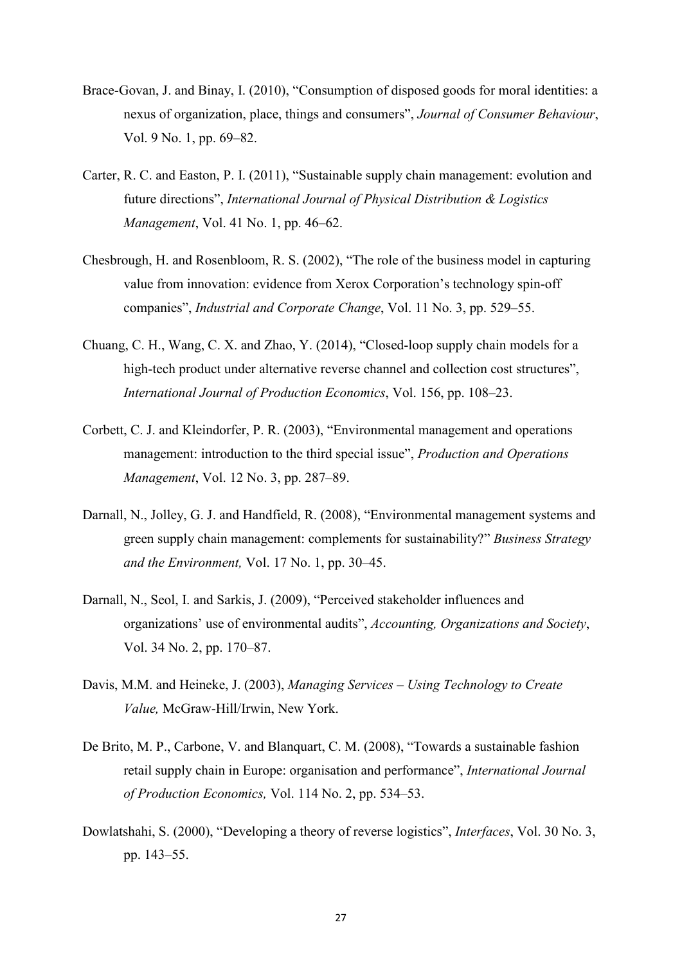- Brace-Govan, J. and Binay, I. (2010), "Consumption of disposed goods for moral identities: a nexus of organization, place, things and consumers", *Journal of Consumer Behaviour*, Vol. 9 No. 1, pp. 69–82.
- Carter, R. C. and Easton, P. I. (2011), "Sustainable supply chain management: evolution and future directions", *International Journal of Physical Distribution & Logistics Management*, Vol. 41 No. 1, pp. 46–62.
- Chesbrough, H. and Rosenbloom, R. S. (2002), "The role of the business model in capturing value from innovation: evidence from Xerox Corporation's technology spin-off companies", *Industrial and Corporate Change*, Vol. 11 No. 3, pp. 529–55.
- Chuang, C. H., Wang, C. X. and Zhao, Y. (2014), "Closed-loop supply chain models for a high-tech product under alternative reverse channel and collection cost structures", *International Journal of Production Economics*, Vol. 156, pp. 108–23.
- Corbett, C. J. and Kleindorfer, P. R. (2003), "Environmental management and operations management: introduction to the third special issue", *Production and Operations Management*, Vol. 12 No. 3, pp. 287–89.
- Darnall, N., Jolley, G. J. and Handfield, R. (2008), "Environmental management systems and green supply chain management: complements for sustainability?" *Business Strategy and the Environment,* Vol. 17 No. 1, pp. 30–45.
- Darnall, N., Seol, I. and Sarkis, J. (2009), "Perceived stakeholder influences and organizations' use of environmental audits", *Accounting, Organizations and Society*, Vol. 34 No. 2, pp. 170–87.
- Davis, M.M. and Heineke, J. (2003), *Managing Services Using Technology to Create Value,* McGraw-Hill/Irwin, New York.
- De Brito, M. P., Carbone, V. and Blanquart, C. M. (2008), "Towards a sustainable fashion retail supply chain in Europe: organisation and performance", *International Journal of Production Economics,* Vol. 114 No. 2, pp. 534–53.
- Dowlatshahi, S. (2000), "Developing a theory of reverse logistics", *Interfaces*, Vol. 30 No. 3, pp. 143–55.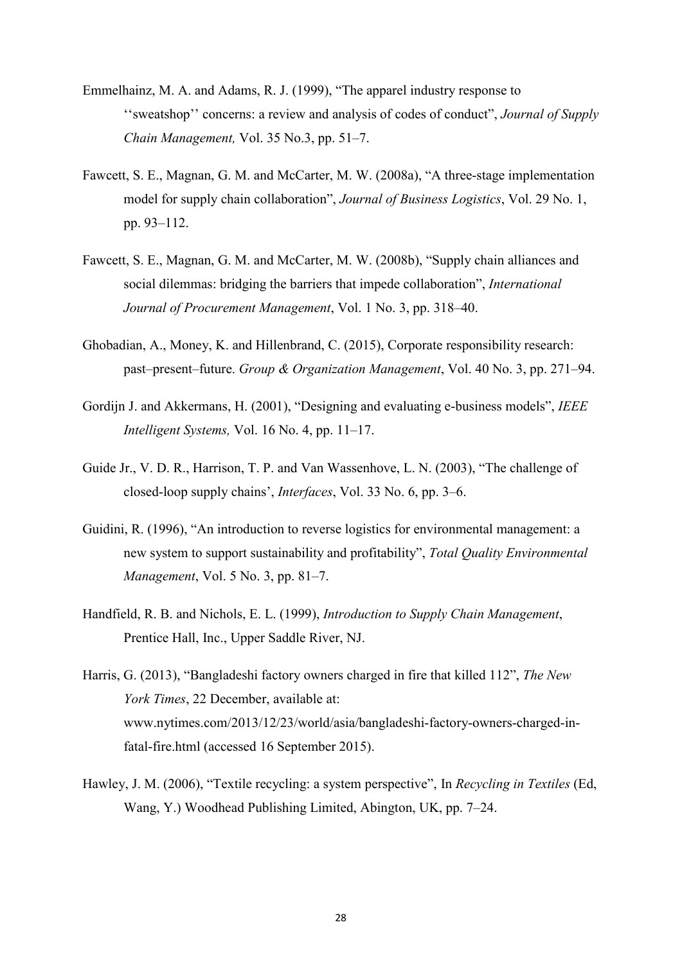- Emmelhainz, M. A. and Adams, R. J. (1999), "The apparel industry response to ''sweatshop'' concerns: a review and analysis of codes of conduct", *Journal of Supply Chain Management,* Vol. 35 No.3, pp. 51–7.
- Fawcett, S. E., Magnan, G. M. and McCarter, M. W. (2008a), "A three-stage implementation model for supply chain collaboration", *Journal of Business Logistics*, Vol. 29 No. 1, pp. 93–112.
- Fawcett, S. E., Magnan, G. M. and McCarter, M. W. (2008b), "Supply chain alliances and social dilemmas: bridging the barriers that impede collaboration", *International Journal of Procurement Management*, Vol. 1 No. 3, pp. 318–40.
- Ghobadian, A., Money, K. and Hillenbrand, C. (2015), Corporate responsibility research: past–present–future. *Group & Organization Management*, Vol. 40 No. 3, pp. 271–94.
- Gordijn J. and Akkermans, H. (2001), "Designing and evaluating e-business models", *IEEE Intelligent Systems,* Vol. 16 No. 4, pp. 11–17.
- Guide Jr., V. D. R., Harrison, T. P. and Van Wassenhove, L. N. (2003), "The challenge of closed-loop supply chains', *Interfaces*, Vol. 33 No. 6, pp. 3–6.
- Guidini, R. (1996), "An introduction to reverse logistics for environmental management: a new system to support sustainability and profitability", *Total Quality Environmental Management*, Vol. 5 No. 3, pp. 81–7.
- Handfield, R. B. and Nichols, E. L. (1999), *Introduction to Supply Chain Management*, Prentice Hall, Inc., Upper Saddle River, NJ.
- Harris, G. (2013), "Bangladeshi factory owners charged in fire that killed 112", *The New York Times*, 22 December, available at: www.nytimes.com/2013/12/23/world/asia/bangladeshi-factory-owners-charged-infatal-fire.html (accessed 16 September 2015).
- Hawley, J. M. (2006), "Textile recycling: a system perspective", In *Recycling in Textiles* (Ed, Wang, Y.) Woodhead Publishing Limited, Abington, UK, pp. 7–24.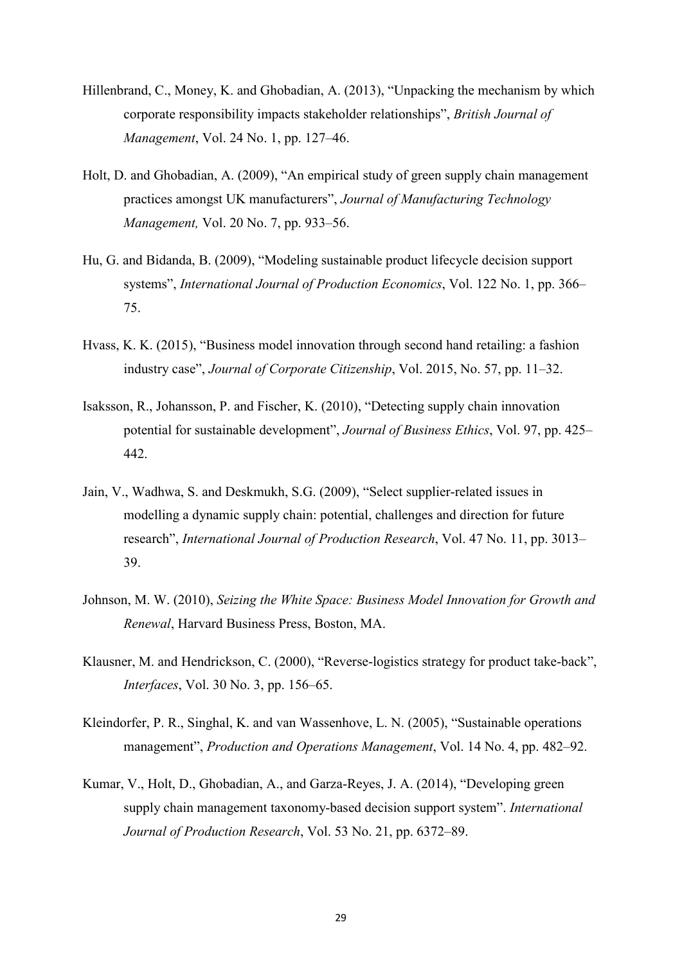- Hillenbrand, C., Money, K. and Ghobadian, A. (2013), "Unpacking the mechanism by which corporate responsibility impacts stakeholder relationships", *British Journal of Management*, Vol. 24 No. 1, pp. 127–46.
- Holt, D. and Ghobadian, A. (2009), "An empirical study of green supply chain management practices amongst UK manufacturers", *Journal of Manufacturing Technology Management,* Vol. 20 No. 7, pp. 933–56.
- Hu, G. and Bidanda, B. (2009), "Modeling sustainable product lifecycle decision support systems", *International Journal of Production Economics*, Vol. 122 No. 1, pp. 366– 75.
- Hvass, K. K. (2015), "Business model innovation through second hand retailing: a fashion industry case", *Journal of Corporate Citizenship*, Vol. 2015, No. 57, pp. 11–32.
- Isaksson, R., Johansson, P. and Fischer, K. (2010), "Detecting supply chain innovation potential for sustainable development", *Journal of Business Ethics*, Vol. 97, pp. 425– 442.
- Jain, V., Wadhwa, S. and Deskmukh, S.G. (2009), "Select supplier-related issues in modelling a dynamic supply chain: potential, challenges and direction for future research", *International Journal of Production Research*, Vol. 47 No. 11, pp. 3013– 39.
- Johnson, M. W. (2010), *Seizing the White Space: Business Model Innovation for Growth and Renewal*, Harvard Business Press, Boston, MA.
- Klausner, M. and Hendrickson, C. (2000), "Reverse-logistics strategy for product take-back", *Interfaces*, Vol. 30 No. 3, pp. 156–65.
- Kleindorfer, P. R., Singhal, K. and van Wassenhove, L. N. (2005), "Sustainable operations management", *Production and Operations Management*, Vol. 14 No. 4, pp. 482–92.
- Kumar, V., Holt, D., Ghobadian, A., and Garza-Reyes, J. A. (2014), "Developing green supply chain management taxonomy-based decision support system". *International Journal of Production Research*, Vol. 53 No. 21, pp. 6372–89.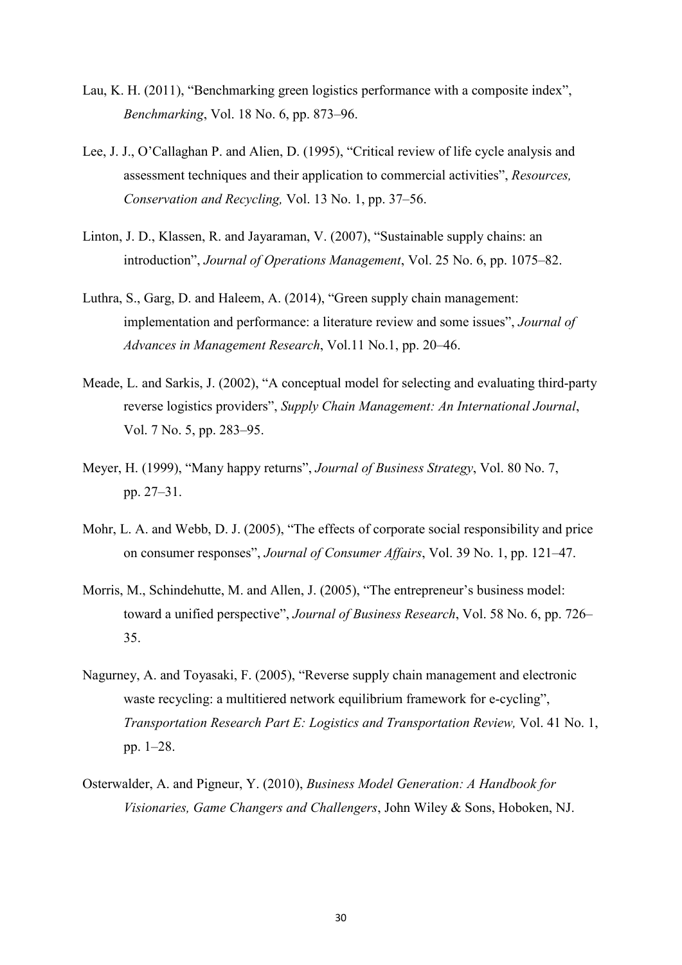- Lau, K. H. (2011), "Benchmarking green logistics performance with a composite index", *Benchmarking*, Vol. 18 No. 6, pp. 873–96.
- Lee, J. J., O'Callaghan P. and Alien, D. (1995), "Critical review of life cycle analysis and assessment techniques and their application to commercial activities", *Resources, Conservation and Recycling,* Vol. 13 No. 1, pp. 37–56.
- Linton, J. D., Klassen, R. and Jayaraman, V. (2007), "Sustainable supply chains: an introduction", *Journal of Operations Management*, Vol. 25 No. 6, pp. 1075–82.
- Luthra, S., Garg, D. and Haleem, A. (2014), "Green supply chain management: implementation and performance: a literature review and some issues", *Journal of Advances in Management Research*, Vol.11 No.1, pp. 20–46.
- Meade, L. and Sarkis, J. (2002), "A conceptual model for selecting and evaluating third-party reverse logistics providers", *Supply Chain Management: An International Journal*, Vol. 7 No. 5, pp. 283–95.
- Meyer, H. (1999), "Many happy returns", *Journal of Business Strategy*, Vol. 80 No. 7, pp. 27–31.
- Mohr, L. A. and Webb, D. J. (2005), "The effects of corporate social responsibility and price on consumer responses", *Journal of Consumer Affairs*, Vol. 39 No. 1, pp. 121–47.
- Morris, M., Schindehutte, M. and Allen, J. (2005), "The entrepreneur's business model: toward a unified perspective", *Journal of Business Research*, Vol. 58 No. 6, pp. 726– 35.
- Nagurney, A. and Toyasaki, F. (2005), "Reverse supply chain management and electronic waste recycling: a multitiered network equilibrium framework for e-cycling", *Transportation Research Part E: Logistics and Transportation Review,* Vol. 41 No. 1, pp. 1–28.
- Osterwalder, A. and Pigneur, Y. (2010), *Business Model Generation: A Handbook for Visionaries, Game Changers and Challengers*, John Wiley & Sons, Hoboken, NJ.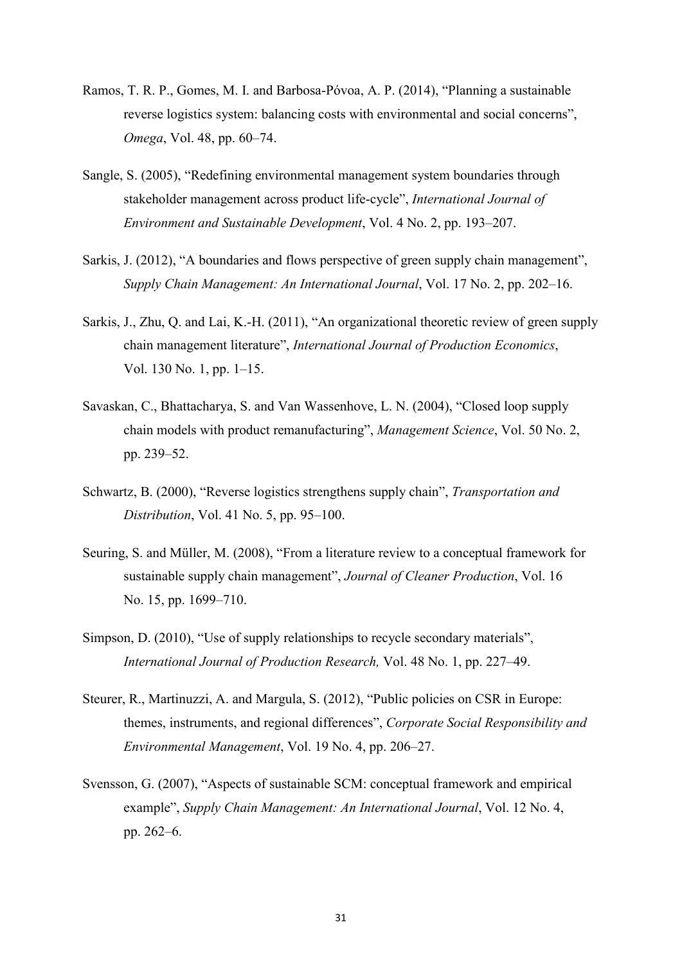- Ramos, T. R. P., Gomes, M. I. and Barbosa-Póvoa, A. P. (2014), "Planning a sustainable reverse logistics system: balancing costs with environmental and social concerns", *Omega*, Vol. 48, pp. 60–74.
- Sangle, S. (2005), "Redefining environmental management system boundaries through stakeholder management across product life-cycle", *International Journal of Environment and Sustainable Development*, Vol. 4 No. 2, pp. 193–207.
- Sarkis, J. (2012), "A boundaries and flows perspective of green supply chain management", *Supply Chain Management: An International Journal*, Vol. 17 No. 2, pp. 202–16.
- Sarkis, J., Zhu, Q. and Lai, K.-H. (2011), "An organizational theoretic review of green supply chain management literature", *International Journal of Production Economics*, Vol. 130 No. 1, pp. 1–15.
- Savaskan, C., Bhattacharya, S. and Van Wassenhove, L. N. (2004), "Closed loop supply chain models with product remanufacturing", *Management Science*, Vol. 50 No. 2, pp. 239–52.
- Schwartz, B. (2000), "Reverse logistics strengthens supply chain", *Transportation and Distribution*, Vol. 41 No. 5, pp. 95–100.
- Seuring, S. and Müller, M. (2008), "From a literature review to a conceptual framework for sustainable supply chain management", *Journal of Cleaner Production*, Vol. 16 No. 15, pp. 1699–710.
- Simpson, D. (2010), "Use of supply relationships to recycle secondary materials", *International Journal of Production Research,* Vol. 48 No. 1, pp. 227–49.
- Steurer, R., Martinuzzi, A. and Margula, S. (2012), "Public policies on CSR in Europe: themes, instruments, and regional differences", *Corporate Social Responsibility and Environmental Management*, Vol. 19 No. 4, pp. 206–27.
- Svensson, G. (2007), "Aspects of sustainable SCM: conceptual framework and empirical example", *Supply Chain Management: An International Journal*, Vol. 12 No. 4, pp. 262–6.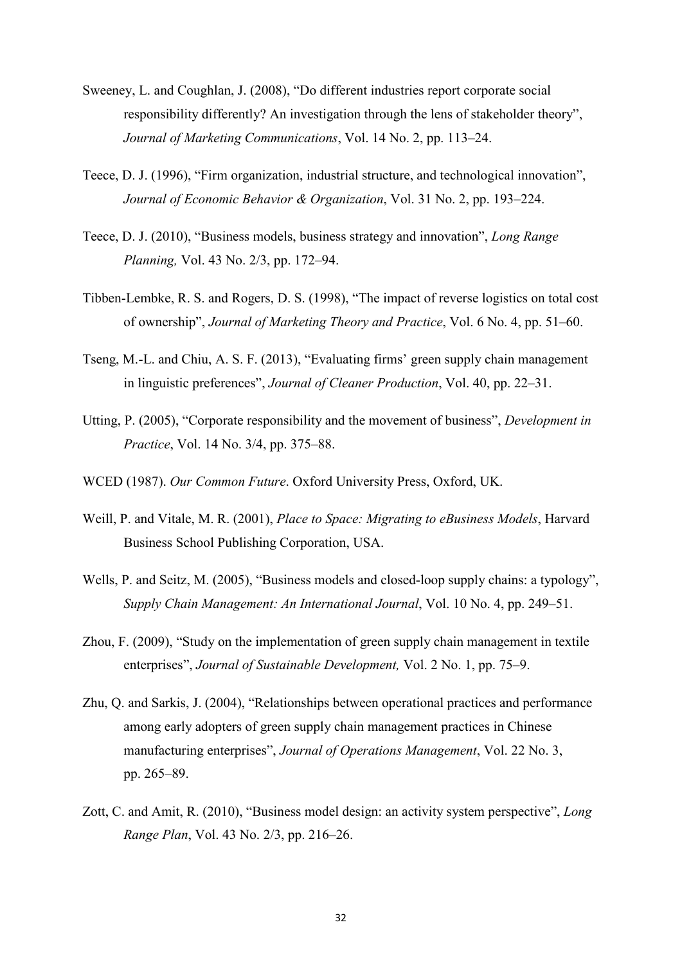- Sweeney, L. and Coughlan, J. (2008), "Do different industries report corporate social responsibility differently? An investigation through the lens of stakeholder theory", *Journal of Marketing Communications*, Vol. 14 No. 2, pp. 113–24.
- Teece, D. J. (1996), "Firm organization, industrial structure, and technological innovation", *Journal of Economic Behavior & Organization*, Vol. 31 No. 2, pp. 193–224.
- Teece, D. J. (2010), "Business models, business strategy and innovation", *Long Range Planning,* Vol. 43 No. 2/3, pp. 172–94.
- Tibben-Lembke, R. S. and Rogers, D. S. (1998), "The impact of reverse logistics on total cost of ownership", *Journal of Marketing Theory and Practice*, Vol. 6 No. 4, pp. 51–60.
- Tseng, M.-L. and Chiu, A. S. F. (2013), "Evaluating firms' green supply chain management in linguistic preferences", *Journal of Cleaner Production*, Vol. 40, pp. 22–31.
- Utting, P. (2005), "Corporate responsibility and the movement of business", *Development in Practice*, Vol. 14 No. 3/4, pp. 375–88.
- WCED (1987). *Our Common Future*. Oxford University Press, Oxford, UK.
- Weill, P. and Vitale, M. R. (2001), *Place to Space: Migrating to eBusiness Models*, Harvard Business School Publishing Corporation, USA.
- Wells, P. and Seitz, M. (2005), "Business models and closed-loop supply chains: a typology", *Supply Chain Management: An International Journal*, Vol. 10 No. 4, pp. 249–51.
- Zhou, F. (2009), "Study on the implementation of green supply chain management in textile enterprises", *Journal of Sustainable Development,* Vol. 2 No. 1, pp. 75–9.
- Zhu, Q. and Sarkis, J. (2004), "Relationships between operational practices and performance among early adopters of green supply chain management practices in Chinese manufacturing enterprises", *Journal of Operations Management*, Vol. 22 No. 3, pp. 265–89.
- Zott, C. and Amit, R. (2010), "Business model design: an activity system perspective", *Long Range Plan*, Vol. 43 No. 2/3, pp. 216–26.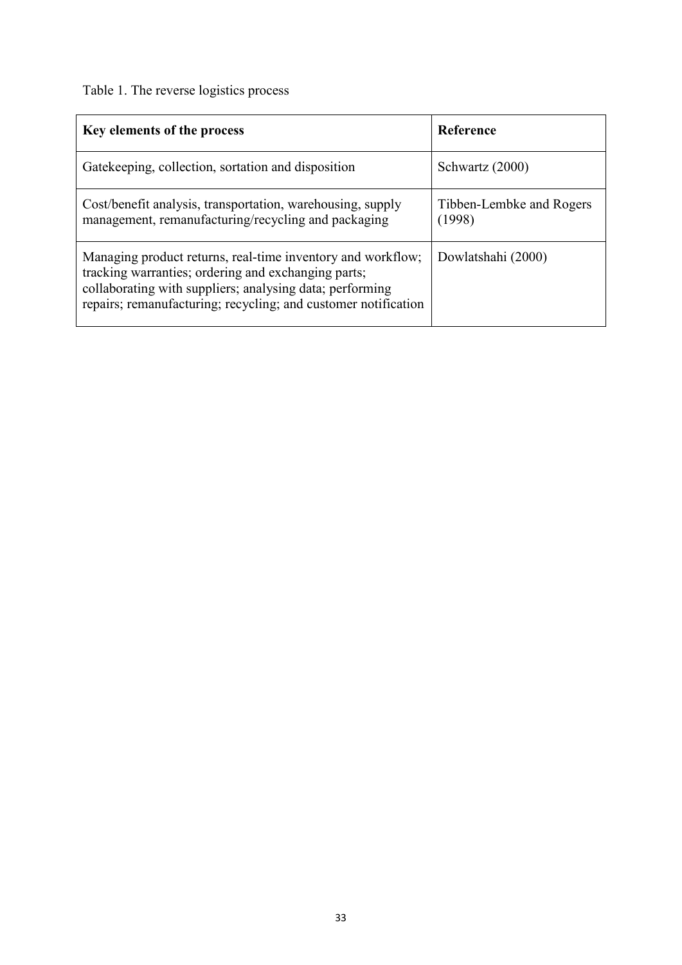# Table 1. The reverse logistics process

| Key elements of the process                                                                                                                                                                                                                      | Reference                          |
|--------------------------------------------------------------------------------------------------------------------------------------------------------------------------------------------------------------------------------------------------|------------------------------------|
| Gatekeeping, collection, sortation and disposition                                                                                                                                                                                               | Schwartz (2000)                    |
| Cost/benefit analysis, transportation, warehousing, supply<br>management, remanufacturing/recycling and packaging                                                                                                                                | Tibben-Lembke and Rogers<br>(1998) |
| Managing product returns, real-time inventory and workflow;<br>tracking warranties; ordering and exchanging parts;<br>collaborating with suppliers; analysing data; performing<br>repairs; remanufacturing; recycling; and customer notification | Dowlatshahi (2000)                 |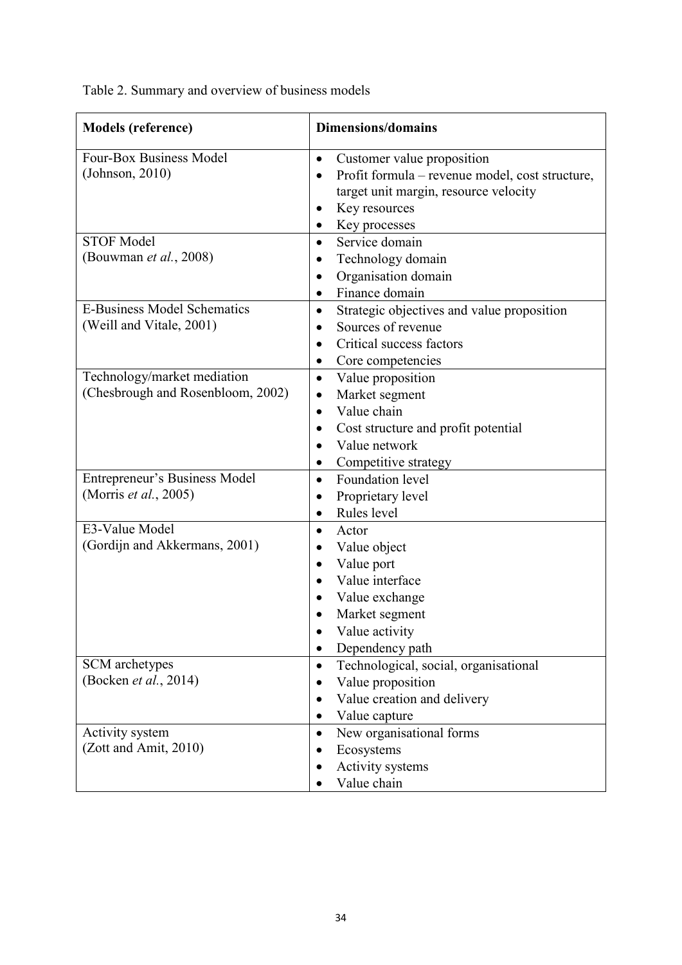Table 2. Summary and overview of business models

| <b>Models (reference)</b>                                        | <b>Dimensions/domains</b>                                                                                                                                                           |  |  |
|------------------------------------------------------------------|-------------------------------------------------------------------------------------------------------------------------------------------------------------------------------------|--|--|
| <b>Four-Box Business Model</b><br>(Johnson, 2010)                | Customer value proposition<br>$\bullet$<br>Profit formula – revenue model, cost structure,<br>٠<br>target unit margin, resource velocity<br>Key resources<br>٠<br>Key processes     |  |  |
| <b>STOF Model</b><br>(Bouwman et al., 2008)                      | Service domain<br>$\bullet$<br>Technology domain<br>Organisation domain<br>٠<br>Finance domain<br>$\bullet$                                                                         |  |  |
| <b>E-Business Model Schematics</b><br>(Weill and Vitale, 2001)   | Strategic objectives and value proposition<br>$\bullet$<br>Sources of revenue<br>٠<br>Critical success factors<br>Core competencies<br>٠                                            |  |  |
| Technology/market mediation<br>(Chesbrough and Rosenbloom, 2002) | Value proposition<br>$\bullet$<br>Market segment<br>٠<br>Value chain<br>$\bullet$<br>Cost structure and profit potential<br>٠<br>Value network<br>$\bullet$<br>Competitive strategy |  |  |
| Entrepreneur's Business Model<br>(Morris et al., 2005)           | Foundation level<br>$\bullet$<br>Proprietary level<br>Rules level<br>$\bullet$                                                                                                      |  |  |
| E3-Value Model<br>(Gordijn and Akkermans, 2001)                  | Actor<br>$\bullet$<br>Value object<br>٠<br>Value port<br>$\bullet$<br>Value interface<br>Value exchange<br>Market segment<br>Value activity<br>Dependency path<br>٠                 |  |  |
| SCM archetypes<br>(Bocken et al., 2014)                          | Technological, social, organisational<br>$\bullet$<br>Value proposition<br>٠<br>Value creation and delivery<br>٠<br>Value capture<br>٠                                              |  |  |
| Activity system<br>(Zott and Amit, 2010)                         | New organisational forms<br>$\bullet$<br>Ecosystems<br>٠<br>Activity systems<br>Value chain                                                                                         |  |  |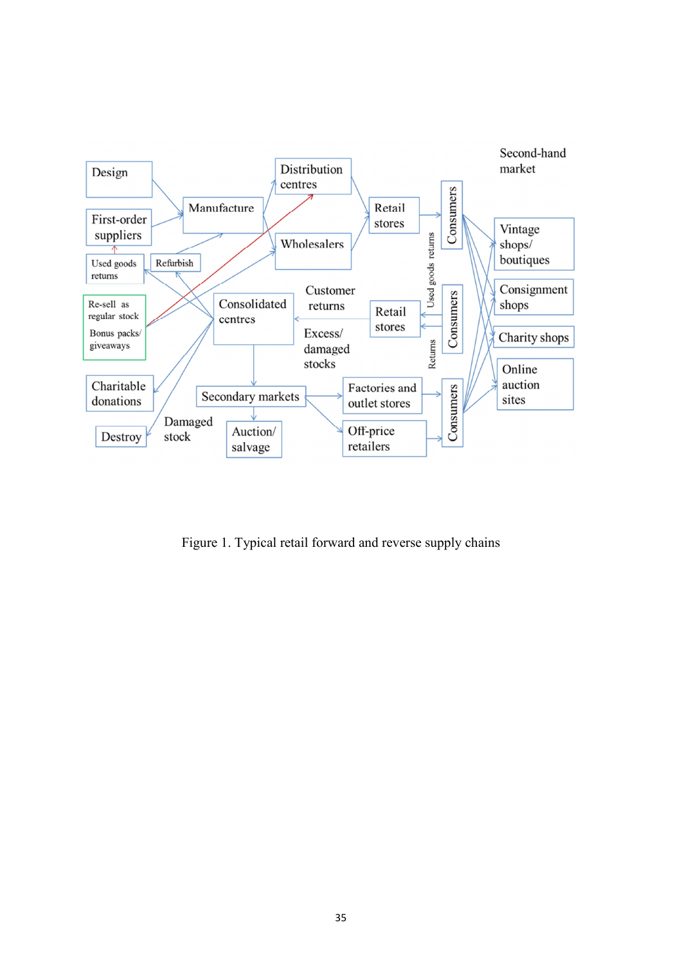

Figure 1. Typical retail forward and reverse supply chains